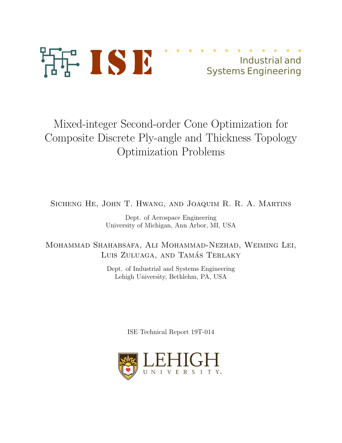

# Mixed-integer Second-order Cone Optimization for Composite Discrete Ply-angle and Thickness Topology Optimization Problems

Sicheng He, John T. Hwang, and Joaquim R. R. A. Martins

Dept. of Aerospace Engineering University of Michigan, Ann Arbor, MI, USA

Mohammad Shahabsafa, Ali Mohammad-Nezhad, Weiming Lei, LUIS ZULUAGA, AND TAMÁS TERLAKY

> Dept. of Industrial and Systems Engineering Lehigh University, Bethlehm, PA, USA

> > ISE Technical Report 19T-014

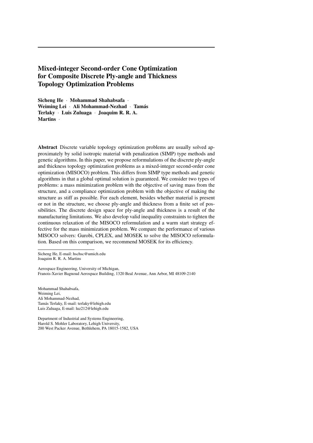# Mixed-integer Second-order Cone Optimization for Composite Discrete Ply-angle and Thickness Topology Optimization Problems

Sicheng He · Mohammad Shahabsafa · Weiming Lei · Ali Mohammad-Nezhad · Tamás Terlaky · Luis Zuluaga · Joaquim R. R. A. Martins ·

Abstract Discrete variable topology optimization problems are usually solved approximately by solid isotropic material with penalization (SIMP) type methods and genetic algorithms. In this paper, we propose reformulations of the discrete ply-angle and thickness topology optimization problems as a mixed-integer second-order cone optimization (MISOCO) problem. This differs from SIMP type methods and genetic algorithms in that a global optimal solution is guaranteed. We consider two types of problems: a mass minimization problem with the objective of saving mass from the structure, and a compliance optimization problem with the objective of making the structure as stiff as possible. For each element, besides whether material is present or not in the structure, we choose ply-angle and thickness from a finite set of possibilities. The discrete design space for ply-angle and thickness is a result of the manufacturing limitations. We also develop valid inequality constraints to tighten the continuous relaxation of the MISOCO reformulation and a warm start strategy effective for the mass minimization problem. We compare the performance of various MISOCO solvers: Gurobi, CPLEX, and MOSEK to solve the MISOCO reformulation. Based on this comparison, we recommend MOSEK for its efficiency.

Sicheng He, E-mail: hschsc@umich.edu Joaquim R. R. A. Martins

Aerospace Engineering, University of Michigan, Franois-Xavier Bagnoud Aerospace Building, 1320 Beal Avenue, Ann Arbor, MI 48109-2140

Mohammad Shahabsafa, Weiming Lei, Ali Mohammad-Nezhad, Tamás Terlaky, E-mail: terlaky@lehigh.edu Luis Zuluaga, E-mail: luz212@lehigh.edu

Department of Industrial and Systems Engineering, Harold S. Mohler Laboratory, Lehigh University, 200 West Packer Avenue, Bethlehem, PA 18015-1582, USA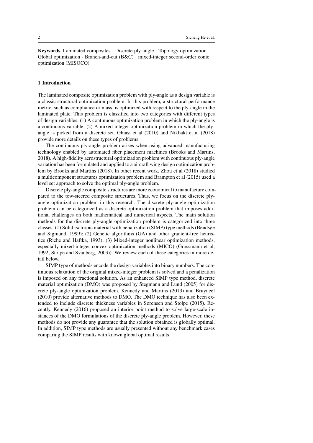Keywords Laminated composites · Discrete ply-angle · Topology optimization · Global optimization · Branch-and-cut (B&C) · mixed-integer second-order conic optimization (MISOCO)

#### 1 Introduction

The laminated composite optimization problem with ply-angle as a design variable is a classic structural optimization problem. In this problem, a structural performance metric, such as compliance or mass, is optimized with respect to the ply-angle in the laminated plate. This problem is classified into two categories with different types of design variables: (1) A continuous optimization problem in which the ply-angle is a continuous variable; (2) A mixed-integer optimization problem in which the plyangle is picked from a discrete set. [Ghiasi et al](#page-30-0) [\(2010\)](#page-30-0) and [Nikbakt et al](#page-31-0) [\(2018\)](#page-31-0) provide more details on these types of problems.

The continuous ply-angle problem arises when using advanced manufacturing technology enabled by automated fiber placement machines [\(Brooks and Martins,](#page-30-1) [2018\)](#page-30-1). A high-fidelity aerostructural optimization problem with continuous ply-angle variation has been formulated and applied to a aircraft wing design optimization problem by [Brooks and Martins](#page-30-1) [\(2018\)](#page-30-1). In other recent work, [Zhou et al](#page-32-0) [\(2018\)](#page-32-0) studied a multicomponent structures optimization problem and [Brampton et al](#page-30-2) [\(2015\)](#page-30-2) used a level set approach to solve the optimal ply-angle problem.

Discrete ply-angle composite structures are more economical to manufacture compared to the tow-steered composite structures. Thus, we focus on the discrete plyangle optimization problem in this research. The discrete ply-angle optimization problem can be categorized as a discrete optimization problem that imposes additional challenges on both mathematical and numerical aspects. The main solution methods for the discrete ply-angle optimization problem is categorized into three classes: (1) Solid isotropic material with penalization (SIMP) type methods [\(Bendsøe](#page-30-3) [and Sigmund, 1999\)](#page-30-3); (2) Genetic algorithms (GA) and other gradient-free heuristics [\(Riche and Haftka, 1993\)](#page-32-1); (3) Mixed-integer nonlinear optimization methods, especially mixed-integer convex optimization methods (MICO) [\(Grossmann et al,](#page-31-1) [1992;](#page-31-1) [Stolpe and Svanberg, 2003\)](#page-32-2)). We review each of these categories in more detail below.

SIMP type of methods encode the design variables into binary numbers. The continuous relaxation of the original mixed-integer problem is solved and a penalization is imposed on any fractional solution. As an enhanced SIMP type method, discrete material optimization (DMO) was proposed by [Stegmann and Lund](#page-32-3) [\(2005\)](#page-32-3) for discrete ply-angle optimization problem. [Kennedy and Martins](#page-31-2) [\(2013\)](#page-31-2) and [Bruyneel](#page-30-4) [\(2010\)](#page-30-4) provide alternative methods to DMO. The DMO technique has also been extended to include discrete thickness variables in [Sørensen and Stolpe](#page-32-4) [\(2015\)](#page-32-4). Recently, [Kennedy](#page-31-3) [\(2016\)](#page-31-3) proposed an interior point method to solve large-scale instances of the DMO formulations of the discrete ply-angle problem. However, these methods do not provide any guarantee that the solution obtained is globally optimal. In addition, SIMP type methods are usually presented without any benchmark cases comparing the SIMP results with known global optimal results.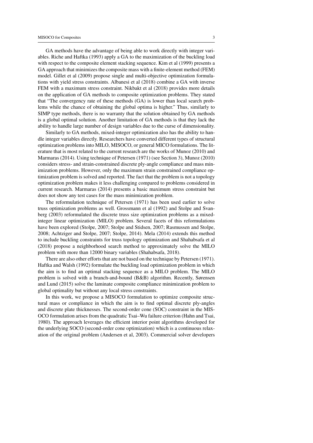GA methods have the advantage of being able to work directly with integer variables. [Riche and Haftka](#page-32-1) [\(1993\)](#page-32-1) apply a GA to the maximization of the buckling load with respect to the composite element stacking sequence. [Kim et al](#page-31-4) [\(1999\)](#page-31-4) presents a GA approach that minimizes the composite mass with a finite-element method (FEM) model. [Gillet et al](#page-31-5) [\(2009\)](#page-31-5) propose single and multi-objective optimization formulations with yield stress constraints. [Albanesi et al](#page-30-5) [\(2018\)](#page-30-5) combine a GA with inverse FEM with a maximum stress constraint. [Nikbakt et al](#page-31-0) [\(2018\)](#page-31-0) provides more details on the application of GA methods to composite optimization problems. They stated that "The convergency rate of these methods (GA) is lower than local search problems while the chance of obtaining the global optima is higher." Thus, similarly to SIMP type methods, there is no warranty that the solution obtained by GA methods is a global optimal solution. Another limitation of GA methods is that they lack the ability to handle large number of design variables due to the curse of dimensionality.

Similarly to GA methods, mixed-integer optimization also has the ability to handle integer variables directly. Researchers have converted different types of structural optimization problems into MILO, MISOCO, or general MICO formulations. The literature that is most related to the current research are the works of [Munoz](#page-31-6) [\(2010\)](#page-31-6) and [Marmaras](#page-31-7) [\(2014\)](#page-31-7). Using technique of [Petersen](#page-31-8) [\(1971\)](#page-31-8) (see Section [3\)](#page-10-0), [Munoz](#page-31-6) [\(2010\)](#page-31-6) considers stress- and strain-constrained discrete ply-angle compliance and mass minimization problems. However, only the maximum strain constrained compliance optimization problem is solved and reported. The fact that the problem is not a topology optimization problem makes it less challenging compared to problems considered in current research. [Marmaras](#page-31-7) [\(2014\)](#page-31-7) presents a basic maximum stress constraint but does not show any test cases for the mass minimization problem.

The reformulation technique of [Petersen](#page-31-8) [\(1971\)](#page-31-8) has been used earlier to solve truss optimization problems as well. [Grossmann et al](#page-31-1) [\(1992\)](#page-31-1) and [Stolpe and Svan](#page-32-2)[berg](#page-32-2) [\(2003\)](#page-32-2) reformulated the discrete truss size optimization problems as a mixedinteger linear optimization (MILO) problem. Several facets of this reformulations have been explored [\(Stolpe, 2007;](#page-32-5) [Stolpe and Stidsen, 2007;](#page-32-6) [Rasmussen and Stolpe,](#page-32-7) [2008;](#page-32-7) [Achtziger and Stolpe, 2007;](#page-30-6) [Stolpe, 2014\)](#page-32-8). [Mela](#page-31-9) [\(2014\)](#page-31-9) extends this method to include buckling constraints for truss topology optimization and [Shahabsafa et al](#page-32-9) [\(2018\)](#page-32-9) propose a neighborhood search method to approximately solve the MILO problem with more than 12000 binary variables [\(Shahabsafa, 2018\)](#page-32-10).

There are also other efforts that are not based on the technique by [Petersen](#page-31-8) [\(1971\)](#page-31-8). [Haftka and Walsh](#page-31-10) [\(1992\)](#page-31-10) formulate the buckling load optimization problem in which the aim is to find an optimal stacking sequence as a MILO problem. The MILO problem is solved with a branch-and-bound (B&B) algorithm. Recently, [Sørensen](#page-32-11) [and Lund](#page-32-11) [\(2015\)](#page-32-11) solve the laminate composite compliance minimization problem to global optimality but without any local stress constraints.

In this work, we propose a MISOCO formulation to optimize composite structural mass or compliance in which the aim is to find optimal discrete ply-angles and discrete plate thicknesses. The second-order cone (SOC) constraint in the MIS-OCO formulation arises from the quadratic Tsai–Wu failure criterion [\(Hahn and Tsai,](#page-31-11) [1980\)](#page-31-11). The approach leverages the efficient interior point algorithms developed for the underlying SOCO (second-order cone optimization) which is a continuous relaxation of the original problem [\(Andersen et al, 2003\)](#page-30-7). Commercial solver developers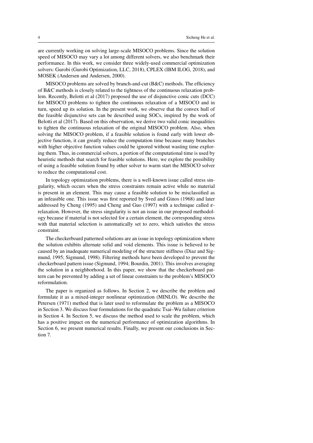are currently working on solving large-scale MISOCO problems. Since the solution speed of MISOCO may vary a lot among different solvers, we also benchmark their performance. In this work, we consider three widely-used commercial optimization solvers: Gurobi [\(Gurobi Optimization, LLC, 2018\)](#page-31-12), CPLEX [\(IBM ILOG, 2018\)](#page-31-13), and MOSEK [\(Andersen and Andersen, 2000\)](#page-30-8).

MISOCO problems are solved by branch-and-cut (B&C) methods. The efficiency of B&C methods is closely related to the tightness of the continuous relaxation problem. Recently, [Belotti et al](#page-30-9) [\(2017\)](#page-30-9) proposed the use of disjunctive conic cuts (DCC) for MISOCO problems to tighten the continuous relaxation of a MISOCO and in turn, speed up its solution. In the present work, we observe that the convex hull of the feasible disjunctive sets can be described using SOCs, inspired by the work of [Belotti et al](#page-30-9) [\(2017\)](#page-30-9). Based on this observation, we derive two valid conic inequalities to tighten the continuous relaxation of the original MISOCO problem. Also, when solving the MISOCO problem, if a feasible solution is found early with lower objective function, it can greatly reduce the computation time because many branches with higher objective function values could be ignored without wasting time exploring them. Thus, in commercial solvers, a portion of the computational time is used by heuristic methods that search for feasible solutions. Here, we explore the possibility of using a feasible solution found by other solver to warm start the MISOCO solver to reduce the computational cost.

In topology optimization problems, there is a well-known issue called stress singularity, which occurs when the stress constraints remain active while no material is present in an element. This may cause a feasible solution to be misclassified as an infeasible one. This issue was first reported by [Sved and Ginos](#page-32-12) [\(1968\)](#page-32-12) and later addressed by [Cheng](#page-30-10) [\(1995\)](#page-30-10) and [Cheng and Guo](#page-30-11) [\(1997\)](#page-30-11) with a technique called  $\varepsilon$ relaxation. However, the stress singularity is not an issue in our proposed methodology because if material is not selected for a certain element, the corresponding stress with that material selection is automatically set to zero, which satisfies the stress constraint.

The checkerboard patterned solutions are an issue in topology optimization where the solution exhibits alternate solid and void elements. This issue is believed to be caused by an inadequate numerical modeling of the structure stiffness [\(Diaz and Sig](#page-30-12)[mund, 1995;](#page-30-12) [Sigmund, 1998\)](#page-32-13). Filtering methods have been developed to prevent the checkerboard pattern issue [\(Sigmund, 1994;](#page-32-14) [Bourdin, 2001\)](#page-30-13). This involves averaging the solution in a neighborhood. In this paper, we show that the checkerboard pattern can be prevented by adding a set of linear constraints to the problem's MISOCO reformulation.

The paper is organized as follows. In Section [2,](#page-5-0) we describe the problem and formulate it as a mixed-integer nonlinear optimization (MINLO). We describe the [Petersen](#page-31-8) [\(1971\)](#page-31-8) method that is later used to reformulate the problem as a MISOCO in Section [3.](#page-10-0) We discuss four formulations for the quadratic Tsai–Wu failure criterion in Section [4.](#page-11-0) In Section [5,](#page-16-0) we discuss the method used to scale the problem, which has a positive impact on the numerical performance of optimization algorithms. In Section [6,](#page-17-0) we present numerical results. Finally, we present our conclusions in Section [7.](#page-29-0)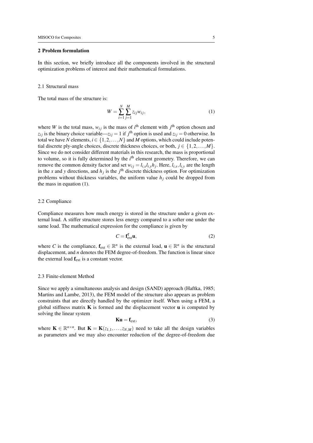#### <span id="page-5-0"></span>2 Problem formulation

In this section, we briefly introduce all the components involved in the structural optimization problems of interest and their mathematical formulations.

#### <span id="page-5-2"></span>2.1 Structural mass

The total mass of the structure is:

<span id="page-5-1"></span>
$$
W = \sum_{i=1}^{N} \sum_{j=1}^{M} z_{ij} w_{ij},
$$
\n(1)

where *W* is the total mass,  $w_{ij}$  is the mass of  $i^{\text{th}}$  element with  $j^{\text{th}}$  option chosen and  $z_{ij}$  is the binary choice variable— $z_{ij} = 1$  if  $j^{\text{th}}$  option is used and  $z_{ij} = 0$  otherwise. In total we have *N* elements,  $i \in \{1, 2, ..., N\}$  and *M* options, which could include potential discrete ply-angle choices, discrete thickness choices, or both,  $j \in \{1, 2, ..., M\}$ . Since we do not consider different materials in this research, the mass is proportional to volume, so it is fully determined by the *i*<sup>th</sup> element geometry. Therefore, we can remove the common density factor and set  $w_{ij} = l_{i,x}l_{i,y}h_j$ . Here,  $l_{i,x}, l_{i,y}$  are the length in the *x* and *y* directions, and  $h_j$  is the  $j^{\text{th}}$  discrete thickness option. For optimization problems without thickness variables, the uniform value  $h_j$  could be dropped from the mass in equation [\(1\)](#page-5-1).

#### 2.2 Compliance

Compliance measures how much energy is stored in the structure under a given external load. A stiffer structure stores less energy compared to a softer one under the same load. The mathematical expression for the compliance is given by

<span id="page-5-3"></span>
$$
C = \mathbf{f}_{\text{ext}}^{\text{T}} \mathbf{u},\tag{2}
$$

where *C* is the compliance,  $f_{ext} \in \mathbb{R}^n$  is the external load,  $\mathbf{u} \in \mathbb{R}^n$  is the structural displacement, and *n* denotes the FEM degree-of-freedom. The function is linear since the external load  $f_{ext}$  is a constant vector.

#### 2.3 Finite-element Method

Since we apply a simultaneous analysis and design (SAND) approach [\(Haftka, 1985;](#page-31-14) [Martins and Lambe, 2013\)](#page-31-15), the FEM model of the structure also appears as problem constraints that are directly handled by the optimizer itself. When using a FEM, a global stiffness matrix  $\bf{K}$  is formed and the displacement vector  $\bf{u}$  is computed by solving the linear system

$$
Ku = f_{ext}, \t\t(3)
$$

where  $\mathbf{K} \in \mathbb{R}^{n \times n}$ . But  $\mathbf{K} = \mathbf{K}(z_{1,1},...,z_{N,M})$  need to take all the design variables as parameters and we may also encounter reduction of the degree-of-freedom due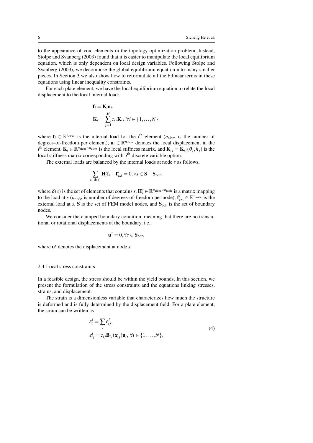to the appearance of void elements in the topology optimization problem. Instead, [Stolpe and Svanberg](#page-32-2) [\(2003\)](#page-32-2) found that it is easier to manipulate the local equilibrium equation, which is only dependent on local design variables. Following [Stolpe and](#page-32-2) [Svanberg](#page-32-2) [\(2003\)](#page-32-2), we decompose the global equilibrium equation into many smaller pieces. In Section [3](#page-10-0) we also show how to reformulate all the bilinear terms in these equations using linear inequality constraints.

For each plate element, we have the local equilibrium equation to relate the local displacement to the local internal load:

$$
\mathbf{f}_i = \mathbf{K}_i \mathbf{u}_i, \n\mathbf{K}_i = \sum_{j=1}^M z_{ij} \mathbf{K}_{ij}, \forall i \in \{1, \dots, N\},
$$

where  $f_i \in \mathbb{R}^{n_{\text{elem}}}$  is the internal load for the *i*<sup>th</sup> element ( $n_{\text{elem}}$  is the number of degrees-of-freedom per element),  $\mathbf{u}_i \in \mathbb{R}^{n_{\text{elem}}}$  denotes the local displacement in the  $i^{\text{th}}$  element,  $\mathbf{K}_i \in \mathbb{R}^{n_{\text{elem}}} \times n_{\text{elem}}$  is the local stiffness matrix, and  $\mathbf{K}_{ij} = \mathbf{K}_{ij}(\theta_j, h_j)$  is the local stiffness matrix corresponding with *j*<sup>th</sup> discrete variable option.

The external loads are balanced by the internal loads at node *s* as follows,

$$
\sum_{i \in \delta(s)} \mathbf{H}_i^s \mathbf{f}_i + \mathbf{f}_{\text{ext}}^s = 0, \forall s \in \mathbf{S} - \mathbf{S}_{\text{bdr}}.
$$

where  $\delta(s)$  is the set of elements that contains  $s$ ,  $\mathbf{H}_{i}^{s} \in \mathbb{R}^{n_{\text{elem}} \times n_{\text{node}}}$  is a matrix mapping to the load at *s* ( $n_{\text{node}}$  is number of degrees-of-freedom per node),  $\mathbf{f}_{\text{ext}}^s \in \mathbb{R}^{n_{\text{node}}}$  is the external load at  $s$ ,  $S$  is the set of FEM model nodes, and  $S<sub>bdr</sub>$  is the set of boundary nodes.

We consider the clamped boundary condition, meaning that there are no translational or rotational displacements at the boundary, i.e.,

$$
\textbf{u}^s=0, \forall s\in \mathbf{S}_{bdr},
$$

where u *<sup>s</sup>* denotes the displacement at node *s*.

#### 2.4 Local stress constraints

In a feasible design, the stress should be within the yield bounds. In this section, we present the formulation of the stress constraints and the equations linking stresses, strains, and displacement.

The strain is a dimensionless variable that characterizes how much the structure is deformed and is fully determined by the displacement field. For a plate element, the strain can be written as

<span id="page-6-0"></span>
$$
\varepsilon_i^l = \sum_j \varepsilon_{ij}^l,
$$
  
\n
$$
\varepsilon_{ij}^l = z_{ij} \mathbf{B}_{ij}(\mathbf{x}_{ij}^l) \mathbf{u}_i, \forall i \in \{1, ..., N\},
$$
\n(4)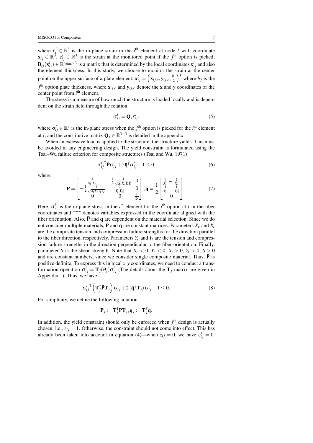where  $\varepsilon_i^l \in \mathbb{R}^3$  is the in-plane strain in the *i*<sup>th</sup> element at node *l* with coordinate  $\mathbf{x}_{ij}^l \in \mathbb{R}^3$ ,  $\mathbf{\varepsilon}_{ij}^l \in \mathbb{R}^3$  is the strain at the monitored point if the *j*<sup>th</sup> option is picked;  $\mathbf{B}_{ij}(\mathbf{x}_{ij}^l) \in \mathbb{R}^{n_{\text{elem}} \times 3}$  is a matrix that is determined by the local coordinates  $\mathbf{x}_{ij}^l$  and also the element thickness. In this study, we choose to monitor the strain at the center point on the upper surface of a plate element:  $\mathbf{x}_{ij}^l = (\mathbf{x}_{ij,c}, \mathbf{y}_{ij,c}, \frac{h_j}{2})$  $\left(\frac{h_j}{2}\right)^T$  where  $h_j$  is the  $j<sup>th</sup>$  option plate thickness, where  $\mathbf{x}_{ij,c}$  and  $\mathbf{y}_{ij,c}$  denote the x and y coordinates of the center point from *i*<sup>th</sup> element.

The stress is a measure of how much the structure is loaded locally and is dependent on the strain field through the relation

<span id="page-7-0"></span>
$$
\sigma_{ij}^l = \mathbf{Q}_j \varepsilon_{ij}^l,\tag{5}
$$

where  $\sigma_{ij}^l \in \mathbb{R}^3$  is the in-plane stress when the *j*<sup>th</sup> option is picked for the *i*<sup>th</sup> element at *l*, and the constitutive matrix  $\mathbf{Q}_j \in \mathbb{R}^{3 \times 3}$  is detailed in the appendix.

When an excessive load is applied to the structure, the structure vields. This must be avoided in any engineering design. The yield constraint is formulated using the Tsai–Wu failure criterion for composite structures [\(Tsai and Wu, 1971\)](#page-32-15)

$$
\overline{\sigma}_{ij}^l \overline{\mathbf{P}} \overline{\sigma}_{ij}^l + 2 \overline{\mathbf{q}}^{\mathsf{T}} \overline{\sigma}_{ij}^l - 1 \le 0, \tag{6}
$$

where

<span id="page-7-2"></span>
$$
\bar{\mathbf{P}} = \begin{bmatrix} \frac{1}{X_t | X_c |} & -\frac{1}{2} \frac{1}{\sqrt{X_t X_c Y_t Y_c}} & 0\\ -\frac{1}{2} \frac{1}{\sqrt{X_t X_c Y_t Y_c}} & \frac{1}{Y_t | Y_c |} & 0\\ 0 & 0 & \frac{1}{S^2} \end{bmatrix}, \bar{\mathbf{q}} = \frac{1}{2} \begin{bmatrix} \frac{1}{X_t} - \frac{1}{|X_c |} \\ \frac{1}{Y_t} - \frac{1}{|Y_c |} \\ 0 \end{bmatrix}.
$$
 (7)

Here,  $\overline{\sigma}_{ij}^l$  is the in-plane stress in the *i*<sup>th</sup> element for the *j*<sup>th</sup> option at *l* in the fiber coordinates and "<sup>-</sup>" denotes variables expressed in the coordinate aligned with the fiber orientation. Also,  $\overline{P}$  and  $\overline{q}$  are dependent on the material selection. Since we do not consider multiple materials, **P** and  $\bar{\mathbf{q}}$  are constant matrices. Parameters  $X_c$  and  $X_t$ are the composite tension and compression failure strengths for the direction parallel to the fiber direction, respectively. Parameters  $Y_c$  and  $Y_t$  are the tension and compression failure strengths in the direction perpendicular to the fiber orientation. Finally, parameter *S* is the shear strength. Note that  $X_c < 0$ ,  $Y_c < 0$ ,  $X_t > 0$ ,  $Y_t > 0$ ,  $S > 0$ and are constant numbers, since we consider single composite material. Thus,  $\overline{P}$  is positive definite. To express this in local *x*, *y* coordinates, we need to conduct a transformation operation  $\bar{\sigma}_{ij}^l = T_j(\theta_j) \sigma_{ij}^l$  (The details about the  $T_j$  matrix are given in Appendix 1). Thus, we have

<span id="page-7-1"></span>
$$
\sigma_{ij}^{l\ \mathsf{T}}\left(\mathbf{T}_{j}^{\mathsf{T}}\bar{\mathbf{P}}\mathbf{T}_{j}\right)\sigma_{ij}^{l}+2\left(\bar{\mathbf{q}}^{\mathsf{T}}\mathbf{T}_{j}\right)\sigma_{ij}^{l}-1\leq0.\tag{8}
$$

For simplicity, we define the following notation

$$
\mathbf{P}_j \coloneqq \mathbf{T}_j^{\mathsf{T}} \bar{\mathbf{P}} \mathbf{T}_j, \mathbf{q}_j \coloneqq \mathbf{T}_j^{\mathsf{T}} \bar{\mathbf{q}}.
$$

In addition, the yield constraint should only be enforced when *j*<sup>th</sup> design is actually chosen, i.e.,  $z_{ij} = 1$ . Otherwise, the constraint should not come into effect. This has already been taken into account in equation [\(4\)](#page-6-0)—when  $z_{ij} = 0$ , we have  $\varepsilon_{ij}^l = 0$ .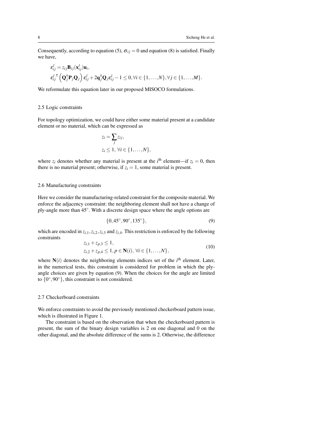Consequently, according to equation [\(5\)](#page-7-0),  $\sigma_{ij} = 0$  and equation [\(8\)](#page-7-1) is satisfied. Finally we have,

$$
\begin{aligned} \varepsilon_{ij}^l &= z_{ij} \mathbf{B}_{ij}(\mathbf{x}_{ij}^l) \mathbf{u}_i, \\ \varepsilon_{ij}^{l} \big( \mathbf{Q}_j^{\mathsf{T}} \mathbf{P}_j \mathbf{Q}_j \big) \varepsilon_{ij}^l + 2 \mathbf{q}_j^{\mathsf{T}} \mathbf{Q}_j \varepsilon_{ij}^l - 1 \leq 0, \forall i \in \{1, \dots, N\}, \forall j \in \{1, \dots, M\}. \end{aligned}
$$

We reformulate this equation later in our proposed MISOCO formulations.

#### 2.5 Logic constraints

For topology optimization, we could have either some material present at a candidate element or no material, which can be expressed as

$$
z_i = \sum_j z_{ij},
$$
  
\n
$$
z_i \leq 1, \forall i \in \{1, \ldots, N\},
$$

where  $z_i$  denotes whether any material is present at the  $i^{\text{th}}$  element—if  $z_i = 0$ , then there is no material present; otherwise, if  $z_i = 1$ , some material is present.

#### 2.6 Manufacturing constraints

Here we consider the manufacturing-related constraint for the composite material. We enforce the adjacency constraint: the neighboring element shall not have a change of ply-angle more than 45◦ . With a discrete design space where the angle options are

<span id="page-8-0"></span>
$$
\{0, 45^{\circ}, 90^{\circ}, 135^{\circ}\},\tag{9}
$$

which are encoded in *zi*,1,*zi*,2,*zi*,<sup>3</sup> and *zi*,4. This restriction is enforced by the following constraints

<span id="page-8-2"></span>
$$
z_{i,1} + z_{p,3} \le 1,z_{i,2} + z_{p,4} \le 1, p \in \mathbf{N}(i), \forall i \in \{1, ..., N\},
$$
(10)

where  $N(i)$  denotes the neighboring elements indices set of the  $i<sup>th</sup>$  element. Later, in the numerical tests, this constraint is considered for problem in which the plyangle choices are given by equation [\(9\)](#page-8-0). When the choices for the angle are limited to  $\{0^\circ, 90^\circ\}$ , this constraint is not considered.

# <span id="page-8-1"></span>2.7 Checkerboard constraints

We enforce constraints to avoid the previously mentioned checkerboard pattern issue, which is illustrated in Figure [1.](#page-9-0)

The constraint is based on the observation that when the checkerboard pattern is present, the sum of the binary design variables is 2 on one diagonal and 0 on the other diagonal, and the absolute difference of the sums is 2. Otherwise, the difference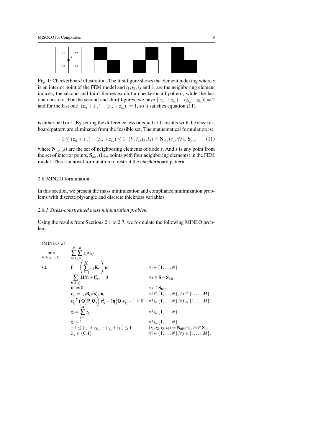<span id="page-9-0"></span>

Fig. 1: Checkerboard illustration. The first figure shows the element indexing where *s* is an interior point of the FEM model and  $i_1$ ,  $i_2$ ,  $i_3$  and  $i_4$  are the neighboring element indices; the second and third figures exhibit a checkerboard pattern; while the last one does not. For the second and third figures, we have  $|(z_{i_1} + z_{i_3}) - (z_{i_2} + z_{i_4})| = 2$ and for the last one  $|(z_{i_1} + z_{i_3}) - (z_{i_2} + z_{i_4})| = 1$ , so it satisfies equation [\(11\)](#page-9-1).

is either be 0 or 1. By setting the difference less or equal to 1, results with the checkerboard pattern are eliminated from the feasible set. The mathematical formulation is:

<span id="page-9-1"></span>
$$
-1 \le (z_{i_1} + z_{i_3}) - (z_{i_2} + z_{i_4}) \le 1, (i_1, i_2, i_3, i_4) = \mathbf{N}_{\text{nbr}}(s), \forall s \in \mathbf{S}_{\text{int}}, \qquad (11)
$$

where  $N_{\text{nbr}}(s)$  are the set of neighboring elements of node *s*. And *s* is any point from the set of interior points,  $S<sub>int</sub>$ , (i.e., points with four neighboring elements) in the FEM model. This is a novel formulation to restrict the checkerboard pattern.

# 2.8 MINLO formulation

In this section, we present the mass minimization and compliance minimization problems with discrete ply-angle and discrete thickness variables.

# *2.8.1 Stress-constrained mass minimization problem*

Using the results from Sections [2.1](#page-5-2) to [2.7,](#page-8-1) we formulate the following MINLO problem

$$
(MINLO-w)
$$
\n
$$
\min_{\mathbf{u}_i, \mathbf{f}_i, z_{ij}, z_i, \epsilon_{ij}^l} \qquad \sum_{i=1}^N \sum_{j=1}^M z_{ij} w_{ij}
$$
\ns.t.\n
$$
\mathbf{f}_i = \left(\sum_{j=1}^M z_{ij} \mathbf{K}_{ij}\right) \mathbf{u}_i \qquad \forall i \in \{1, ..., N\}
$$
\n
$$
\sum_{i \in \delta(s)} \mathbf{H}_i^s \mathbf{f}_i + \mathbf{f}_{\text{ext}}^s = 0 \qquad \forall s \in \mathbf{S} - \mathbf{S}_{\text{bdr}}
$$
\n
$$
\mathbf{u}^s = 0 \qquad \forall s \in \mathbf{S}_{\text{bdr}}
$$
\n
$$
\mathbf{e}_{ij}^l = z_{ij} \mathbf{B}_{ij} (\mathbf{x}_{ij}^l) \mathbf{u}_i \qquad \forall i \in \{1, ..., N\}, \forall j \in \{1, ..., M\}
$$
\n
$$
\mathbf{e}_{ij}^l \left[ (\mathbf{Q}_j^T \mathbf{P}_j \mathbf{Q}_j) \epsilon_{ij}^l + 2\mathbf{q}_j^T \mathbf{Q}_j \epsilon_{ij}^l - 1 \le 0 \quad \forall i \in \{1, ..., N\}, \forall j \in \{1, ..., M\}
$$
\n
$$
z_i = \sum_{j=1}^M z_{ij} \qquad \forall i \in \{1, ..., N\}
$$
\n
$$
z_i \le 1 \qquad \forall i \in \{1, ..., N\}
$$
\n
$$
-1 \le (z_{i_1} + z_{i_3}) - (z_{i_2} + z_{i_4}) \le 1 \qquad \forall i \in \{1, ..., N\}
$$
\n
$$
\forall i \in \{1, ..., N\}
$$
\n
$$
\forall i \in \{1, ..., N\}
$$
\n
$$
\forall i \in \{1, ..., N\}
$$
\n
$$
\forall i \in \{1, ..., N\}
$$
\n
$$
\forall i \in \{1, ..., N\}
$$
\n
$$
\forall i \in \{1, ..., N\}
$$
\n
$$
\forall i \in \{1, ..., N\}
$$
\n
$$
\forall i \in \{1, ..., N\}
$$
\n<math display="block</math>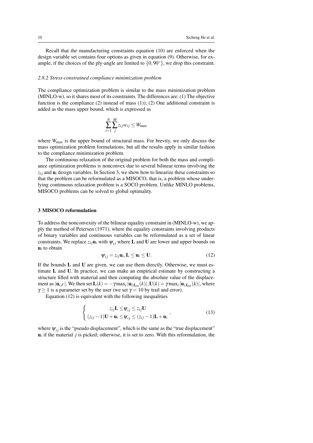Recall that the manufacturing constraints equation [\(10\)](#page-8-2) are enforced when the design variable set contains four options as given in equation [\(9\)](#page-8-0). Otherwise, for example, if the choices of the ply-angle are limited to  $\{0,90°\}$ , we drop this constraint.

#### *2.8.2 Stress-constrained compliance minimization problem*

The compliance optimization problem is similar to the mass minimization problem (MINLO-w), so it shares most of its constraints. The differences are: (1) The objective function is the compliance [\(2\)](#page-5-3) instead of mass [\(1\)](#page-5-1)); (2) One additional constraint is added as the mass upper bound, which is expressed as

$$
\sum_{i=1}^{N} \sum_{j}^{M} z_{ij} w_{ij} \leq W_{\text{max}}
$$

where  $W_{\text{max}}$  is the upper bound of structural mass. For brevity, we only discuss the mass optimization problem formulations, but all the results apply in similar fashion to the compliance minimization problem.

The continuous relaxation of the original problem for both the mass and compliance optimization problems is nonconvex due to several bilinear terms involving the  $z_{ij}$  and  $\mathbf{u}_i$  design variables. In Section [3,](#page-10-0) we show how to linearize these constraints so that the problem can be reformulated as a MISOCO, that is, a problem whose underlying continuous relaxation problem is a SOCO problem. Unlike MINLO problems, MISOCO problems can be solved to global optimality.

#### <span id="page-10-0"></span>3 MISOCO reformulation

To address the nonconvexity of the bilinear equality constraint in (MINLO-w), we apply the method of [Petersen](#page-31-8) [\(1971\)](#page-31-8), where the equality constraints involving products of binary variables and continuous variables can be reformulated as a set of linear constraints. We replace  $z_{ij}$ **u**<sub>i</sub> with  $\psi_{ij}$  where **L** and **U** are lower and upper bounds on  $\mathbf{u}_i$  to obtain

<span id="page-10-1"></span>
$$
\Psi_{ij} = z_{ij} \mathbf{u}_i, \mathbf{L} \le \mathbf{u}_i \le \mathbf{U}.
$$
 (12)

If the bounds  $L$  and  $U$  are given, we can use them directly. Otherwise, we must estimate L and U. In practice, we can make an empirical estimate by constructing a structure filled with material and then computing the absolute value of the displacement as  $|\mathbf{u}_{i,F}|$ . We then set  $\mathbf{L}(k) = -\gamma \max_i |\mathbf{u}_{i,\mathbf{f}_{\text{ext}}}(k)|$ ,  $\mathbf{U}(k) = \gamma \max_i |\mathbf{u}_{i,\mathbf{f}_{\text{ext}}}(k)|$ , where  $\gamma \ge 1$  is a parameter set by the user (we set  $\gamma = 10$  by trail and error).

Equation [\(12\)](#page-10-1) is equivalent with the following inequalities

<span id="page-10-2"></span>
$$
\begin{cases}\nz_{ij}\mathbf{L} \leq \psi_{ij} \leq z_{ij}\mathbf{U} \\
(z_{ij}-1)\mathbf{U} + \mathbf{u}_i \leq \psi_{ij} \leq (z_{ij}-1)\mathbf{L} + \mathbf{u}_i\n\end{cases} (13)
$$

where  $\psi_{i,j}$  is the "pseudo displacement", which is the same as the "true displacement"  $\mathbf{u}_i$  if the material  $j$  is picked; otherwise, it is set to zero. With this reformulation, the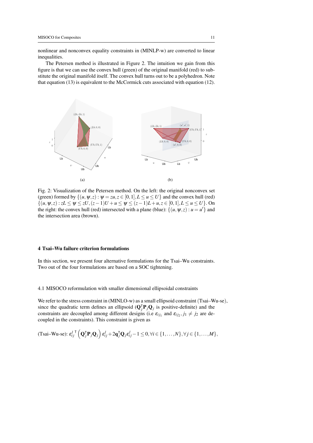nonlinear and nonconvex equality constraints in (MINLP-w) are converted to linear inequalities.

The Petersen method is illustrated in Figure [2.](#page-11-1) The intuition we gain from this figure is that we can use the convex hull (green) of the original manifold (red) to substitute the original manifold itself. The convex hull turns out to be a polyhedron. Note that equation [\(13\)](#page-10-2) is equivalent to the McCormick cuts associated with equation [\(12\)](#page-10-1).

<span id="page-11-1"></span>

Fig. 2: Visualization of the Petersen method. On the left: the original nonconvex set (green) formed by  $\{(u, \psi, z) : \psi = zu, z \in [0, 1], L \le u \le U\}$  and the convex hull (red) {(*u*,ψ,*z*) : *zL* ≤ ψ ≤ *zU*,(*z*−1)*U* +*u* ≤ ψ ≤ (*z*−1)*L*+*u*,*z* ∈ [0,1],*L* ≤ *u* ≤ *U*}. On the right: the convex hull (red) intersected with a plane (blue):  $\{(u, \psi, z) : u = u'\}$  and the intersection area (brown).

# <span id="page-11-0"></span>4 Tsai–Wu failure criterion formulations

In this section, we present four alternative formulations for the Tsai–Wu constraints. Two out of the four formulations are based on a SOC tightening.

4.1 MISOCO reformulation with smaller dimensional ellipsoidal constraints

We refer to the stress constraint in (MINLO-w) as a small ellipsoid constraint (Tsai–Wu-se), since the quadratic term defines an ellipsoid  $(Q_j^T P_j Q_j)$  is positive-definite) and the constraints are decoupled among different designs (i.e  $\varepsilon_{ij_1}$  and  $\varepsilon_{ij_2}, j_1 \neq j_2$  are decoupled in the constraints). This constraint is given as

$$
(\text{Tsai-Wu-se}): \varepsilon_{ij}^{l\top} \left( \mathbf{Q}_{j}^{\top} \mathbf{P}_{j} \mathbf{Q}_{j} \right) \varepsilon_{ij}^{l} + 2 \mathbf{q}_{j}^{\top} \mathbf{Q}_{j} \varepsilon_{ij}^{l} - 1 \leq 0, \forall i \in \{1, \ldots, N\}, \forall j \in \{1, \ldots, M\},
$$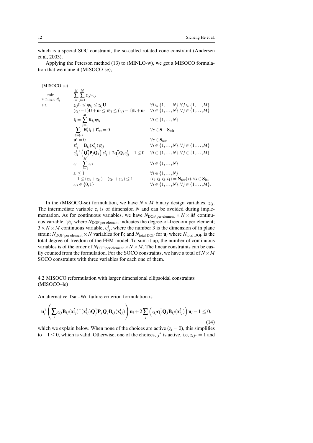which is a special SOC constraint, the so-called rotated cone constraint [\(Andersen](#page-30-7) [et al, 2003\)](#page-30-7).

Applying the Peterson method [\(13\)](#page-10-2) to (MINLO-w), we get a MISOCO formulation that we name it (MISOCO-se),

(MISOCO-se) min  $\mathbf{u}_i$ , $\mathbf{f}_i$ , $z_{ij}$ , $z_i$ , $\mathcal{E}_{ij}^l$ *N* ∑ *i*=1  $\sum_{j=1}^M z_{ij} w_{ij}$ s.t.  $z_{ij}L \leq \psi_{ij} \leq z_{ij}U$   $\forall i \in \{1,...,N\}, \forall j \in \{1,...,M\}$  $(z_{ij} - 1)$ **U** + **u**<sub>i</sub> ≤  $\psi_{ij}$  ≤  $(z_{ij} - 1)$ **L** + **u**<sub>i</sub>  $\forall i$  ∈ {1,...,*N*},  $\forall j$  ∈ {1,..., *M*}  $\mathbf{f}_i = \sum_{j=1}^M \mathbf{K}_{ij} \psi_{ij}$   $\forall i \in \{1, ..., N\}$ ∑ *i*∈δ(*s*)  $\mathbf{H}_{i}^{s} \mathbf{f}_{i} + \mathbf{f}_{ext}^{s} = 0$   $\forall s \in \mathbf{S} - \mathbf{S}_{\text{bdr}}$  $\mathbf{u}^s = 0$  $\forall s \in \mathbf{S_{bdr}}$ <br>  $\forall i \in \{1, ..., N\}, \forall j \in \{1, ..., M\}$  $\epsilon_{ij}^l = \mathbf{B}_{ij}(\mathbf{x}_i^l)$ *i*<sub>*i*</sub>) $\Psi_{ij}$   $\forall i \in \{1, ..., N\}, \forall j \in \{1, ..., M\}$  $\varepsilon_{ij}^l$  $\mathbf{F}\left(\mathbf{Q}_{j}^{\mathsf{T}}\mathbf{P}_{j}\mathbf{Q}_{j}\right)\varepsilon_{ij}^{l}+2\mathbf{q}_{j}^{\mathsf{T}}\mathbf{Q}_{j}\varepsilon_{ij}^{l}-1\leq 0 \quad \forall i \in \{1,\ldots,N\}, \forall j \in \{1,\ldots,M\}$  $z_i = \sum_{j=1}^{M} z_{ij}$   $\forall i \in \{1, ..., N\}$ *z*<sub>*i*</sub> ≤ 1  $\forall i \in \{1, ..., N\}$  $-1 \leq (z_{i_1} + z_{i_3}) - (z_{i_2} + z_{i_4}) \leq 1$  (*i*<sub>1</sub>, *i*<sub>2</sub>, *i*<sub>3</sub>, *i*<sub>4</sub>) = **N**<sub>nbr</sub>(*s*)<sub></sub>, ∀*s* ∈ **S**<sub>int</sub>  $z_{ij} \in \{0,1\}$   $\forall i \in \{1,...,N\}, \forall j \in \{1,...,M\}.$ 

In the (MISOCO-se) formulation, we have  $N \times M$  binary design variables,  $z_{ij}$ . The intermediate variable  $z_i$  is of dimension  $N$  and can be avoided during implementation. As for continuous variables, we have  $N_{\text{DOF per element}} \times N \times M$  continuous variable,  $\psi_{ij}$  where  $N_{\text{DOF per element}}$  indicates the degree-of-freedom per element;  $3 \times N \times M$  continuous variable,  $\varepsilon_{ij}^l$ , where the number 3 is the dimension of in plane strain;  $N_{\text{DOF}}$  per element  $\times N$  variables for  $\mathbf{f}_i$ ; and  $N_{\text{total DOF}}$  for  $\mathbf{u}_i$  where  $N_{\text{total DOF}}$  is the total degree-of-freedom of the FEM model. To sum it up, the number of continuous variables is of the order of  $N_{\text{DOF per element}} \times N \times M$ . The linear constraints can be easily counted from the formulation. For the SOCO constraints, we have a total of  $N \times M$ SOCO constraints with three variables for each one of them.

4.2 MISOCO reformulation with larger dimensional ellipsoidal constraints (MISOCO–le)

An alternative Tsai–Wu failure criterion formulation is

<span id="page-12-0"></span>
$$
\mathbf{u}_i^{\mathsf{T}}\left(\sum_j z_{ij} \mathbf{B}_{ij}(\mathbf{x}_{ij}^l)^{\mathsf{T}}(\mathbf{x}_{ij}^l) \mathbf{Q}_j^{\mathsf{T}} \mathbf{P}_j \mathbf{Q}_j \mathbf{B}_{ij}(\mathbf{x}_{ij}^l)\right) \mathbf{u}_i + 2 \sum_j \left(z_{ij} \mathbf{q}_j^{\mathsf{T}} \mathbf{Q}_j \mathbf{B}_{ij}(\mathbf{x}_{ij}^l)\right) \mathbf{u}_i - 1 \le 0,
$$
\n(14)

which we explain below. When none of the choices are active  $(z_i = 0)$ , this simplifies to −1 ≤ 0, which is valid. Otherwise, one of the choices, *j* ∗ is active, i.e, *zi j*<sup>∗</sup> = 1 and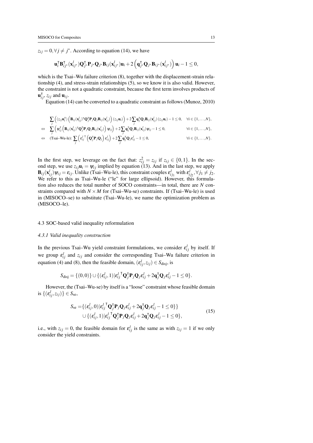$z_{ij} = 0, \forall j \neq j^*$ . According to equation [\(14\)](#page-12-0), we have

$$
\mathbf{u}_i^{\mathsf{T}} \mathbf{B}_{ij^*}^{\mathsf{T}}(\mathbf{x}_{ij^*}^l) \mathbf{Q}_{j^*}^{\mathsf{T}} \mathbf{P}_{j^*} \mathbf{Q}_{j^*} \mathbf{B}_{ij}(\mathbf{x}_{ij^*}^l) \mathbf{u}_i + 2 \left( \mathbf{q}_{j^*}^{\mathsf{T}} \mathbf{Q}_{j^*} \mathbf{B}_{ij^*}(\mathbf{x}_{ij^*}^l) \right) \mathbf{u}_i - 1 \leq 0,
$$

which is the Tsai–Wu failure criterion  $(8)$ , together with the displacement-strain relationship [\(4\)](#page-6-0), and stress-strain relationships [\(5\)](#page-7-0), so we know it is also valid. However, the constraint is not a quadratic constraint, because the first term involves products of  $\mathbf{u}_{ij}^{\mathsf{T}}$ ,  $z_{ij}$  and  $\mathbf{u}_{ij}$ .

Equation [\(14\)](#page-12-0) can be converted to a quadratic constraint as follows [\(Munoz, 2010\)](#page-31-6)

$$
\sum_i \left( (z_{ij} \mathbf{u}_i^{\mathsf{T}}) \left( \mathbf{B}_{ij} (\mathbf{x}_{ij}^l)^{\mathsf{T}} \mathbf{Q}_j^{\mathsf{T}} \mathbf{P}_j \mathbf{Q}_j \mathbf{B}_{ij} (\mathbf{x}_{ij}^l) \right) (z_{ij} \mathbf{u}_i) \right) + 2 \sum_i \mathbf{q}_j^{\mathsf{T}} \mathbf{Q}_j \mathbf{B}_{ij} (\mathbf{x}_{ij}^l) (z_{ij} \mathbf{u}_i) - 1 \leq 0, \quad \forall i \in \{1, \dots, N\},
$$

$$
\Leftrightarrow \quad \sum_{j}^{j} \left( \psi_{ij}^{\intercal} \left( \mathbf{B}_{ij}(\mathbf{x}_{ij}^{l})^{\intercal} \mathbf{Q}_{j}^{\intercal} \mathbf{P}_{j} \mathbf{Q}_{j} \mathbf{B}_{ij}(\mathbf{x}_{ij}^{l}) \right) \psi_{ij} \right) + 2 \sum_{j} \mathbf{q}_{j}^{\intercal} \mathbf{Q}_{j} \mathbf{B}_{ij}(\mathbf{x}_{ij}^{l}) \psi_{ij} - 1 \leq 0, \qquad \forall i \in \{1, \ldots, N\},
$$

$$
\Leftrightarrow (\text{Tsai-Wu-le}):\sum_j \left(\epsilon_{ij}^{I\, \mathsf{T}}\left(\mathbf{Q}_j^{\mathsf{T}} \mathbf{P}_j \mathbf{Q}_j\right) \epsilon_{ij}^I\right) + 2 \sum_j \mathbf{q}_j^{\mathsf{T}} \mathbf{Q}_j \epsilon_{ij}^I - 1 \leq 0, \qquad \forall i \in \{1, \ldots, N\}.
$$

In the first step, we leverage on the fact that:  $z_{ij}^2 = z_{ij}$  if  $z_{ij} \in \{0, 1\}$ . In the second step, we use  $z_{ij}$ **u**<sub>i</sub> =  $\psi_{ij}$  implied by equation [\(13\)](#page-10-2). And in the last step, we apply  $\mathbf{B}_{ij}(\mathbf{x}_{ij}^l)\psi_{ij} = \varepsilon_{ij}$ . Unlike (Tsai–Wu-le), this constraint couples  $\varepsilon_{ij_1}^l$  with  $\varepsilon_{ij_2}^l$ ,  $\forall j_1 \neq j_2$ . We refer to this as Tsai–Wu-le ("le" for large ellipsoid). However, this formulation also reduces the total number of SOCO constraints—in total, there are *N* constraints compared with  $N \times M$  for (Tsai–Wu-se) constraints. If (Tsai–Wu-le) is used in (MISOCO–se) to substitute (Tsai–Wu-le), we name the optimization problem as (MISOCO–le).

#### <span id="page-13-0"></span>4.3 SOC-based valid inequality reformulation

#### *4.3.1 Valid inequality construction*

In the previous Tsai–Wu yield constraint formulations, we consider  $\varepsilon_{ij}^l$  by itself. If we group  $\varepsilon_{ij}^l$  and  $z_{ij}$  and consider the corresponding Tsai–Wu failure criterion in equation [\(4\)](#page-6-0) and [\(8\)](#page-7-1), then the feasible domain,  $(\varepsilon_{ij}^l, z_{ij}) \in S_{\text{disj}}$ , is

$$
S_{\text{disj}} = \{ (0,0) \} \cup \{ (\epsilon_{ij}^l,1) | \epsilon_{ij}^{l}{}^{\mathsf{T}} \mathbf{Q}_j^{\mathsf{T}} \mathbf{P}_j \mathbf{Q}_j \epsilon_{ij}^{l} + 2 \mathbf{q}_j^{\mathsf{T}} \mathbf{Q}_j \epsilon_{ij}^{l} - 1 \leq 0 \}.
$$

However, the (Tsai–Wu-se) by itself is a "loose" constraint whose feasible domain is  $\{(\varepsilon_{ij}^l, z_{ij})\} \in S_{\text{se}},$ 

$$
S_{\rm se} = \{ (\epsilon_{ij}^l, 0) | \epsilon_{ij}^l^\mathsf{T} \mathbf{Q}_j^\mathsf{T} \mathbf{P}_j \mathbf{Q}_j \epsilon_{ij}^l + 2 \mathbf{q}_j^\mathsf{T} \mathbf{Q}_j \epsilon_{ij}^l - 1 \le 0 \} \} \cup \{ (\epsilon_{ij}^l, 1) | \epsilon_{ij}^l^\mathsf{T} \mathbf{Q}_j^\mathsf{T} \mathbf{P}_j \mathbf{Q}_j \epsilon_{ij}^l + 2 \mathbf{q}_j^\mathsf{T} \mathbf{Q}_j \epsilon_{ij}^l - 1 \le 0 \},
$$
\n(15)

i.e., with  $z_{ij} = 0$ , the feasible domain for  $\varepsilon_{ij}^l$  is the same as with  $z_{ij} = 1$  if we only consider the yield constraints.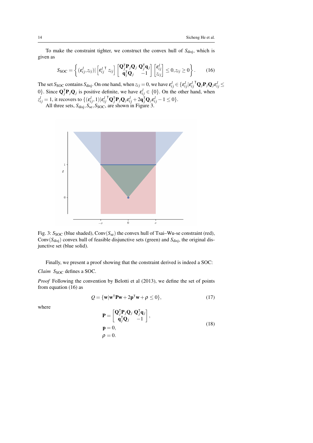To make the constraint tighter, we construct the convex hull of  $S_{disj}$ , which is given as

<span id="page-14-1"></span>
$$
S_{\text{SOC}} = \left\{ (\varepsilon_{ij}^l, z_{ij}) | \left[ \varepsilon_{ij}^{l\top} z_{ij} \right] \begin{bmatrix} \mathbf{Q}_j^{\mathsf{T}} \mathbf{P}_j \mathbf{Q}_j & \mathbf{Q}_j^{\mathsf{T}} \mathbf{q}_j \\ \mathbf{q}_j^{\mathsf{T}} \mathbf{Q}_j & -1 \end{bmatrix} \begin{bmatrix} \varepsilon_{ij}^l \\ z_{ij} \end{bmatrix} \leq 0, z_{ij} \geq 0 \right\}.
$$
 (16)

The set *S*<sub>SOC</sub> contains *S*<sub>disj</sub>. On one hand, when  $z_{ij} = 0$ , we have  $\epsilon_{ij}^l \in \{\epsilon_{ij}^l | \epsilon_{ij}^l\}$  $^{T}Q_{j}P_{j}Q_{j}\varepsilon_{ij}^{l} \leq$ 0}. Since  $\mathbf{Q}_j^{\mathsf{T}} \mathbf{P}_j \mathbf{Q}_j$  is positive definite, we have  $\varepsilon_{ij}^l \in \{0\}$ . On the other hand, when  $z_{ij}^l = 1$ , it recovers to  $\{(\varepsilon_{ij}^l,1)|\varepsilon_{ij}^l\}$ <sup>*r*</sup>**Q**<sub>*j*</sub>P<sub>*j*</sub>**Q**<sub>*j*</sub>ε<sup>*l*</sup><sub>*i*</sub><sub>*j*</sub> +2**q**<sub>j</sub><sup>T</sup>**Q**<sub>*j*</sub>ε<sup>*l*</sup><sub>*i*</sub><sub>*j*</sub> -1 ≤ 0}.

<span id="page-14-0"></span>All three sets,  $S_{disj}$ ,  $S_{se}$ ,  $S_{SOC}$ , are shown in Figure [3.](#page-14-0)



Fig. 3:  $S_{SOC}$  (blue shaded), Conv( $S_{se}$ ) the convex hull of Tsai–Wu-se constraint (red), Conv $(S_{\text{disj}})$  convex hull of feasible disjunctive sets (green) and  $S_{\text{disj}}$ , the original disjunctive set (blue solid).

Finally, we present a proof showing that the constraint derived is indeed a SOC:

*Claim* S<sub>SOC</sub> defines a SOC.

*Proof* Following the convention by [Belotti et al](#page-30-14) [\(2013\)](#page-30-14), we define the set of points from equation [\(16\)](#page-14-1) as

$$
Q = \{ \mathbf{w} | \mathbf{w}^\mathsf{T} \mathbf{P} \mathbf{w} + 2 \mathbf{p}^\mathsf{T} \mathbf{w} + \rho \le 0 \},\tag{17}
$$

where

<span id="page-14-2"></span>
$$
\mathbf{P} = \begin{bmatrix} \mathbf{Q}_{j}^{\mathsf{T}} \mathbf{P}_{j} \mathbf{Q}_{j} & \mathbf{Q}_{j}^{\mathsf{T}} \mathbf{q}_{j} \\ \mathbf{q}_{j}^{\mathsf{T}} \mathbf{Q}_{j} & -1 \end{bmatrix},
$$
  
\n
$$
\mathbf{p} = 0,
$$
  
\n
$$
\rho = 0.
$$
 (18)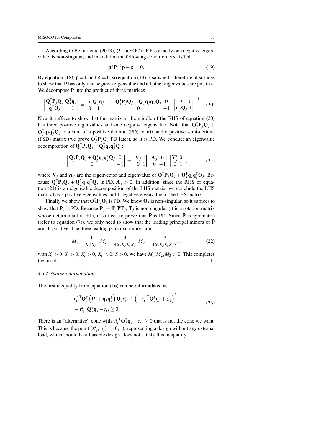According to [Belotti et al](#page-30-14) [\(2013\)](#page-30-14), *Q* is a SOC if P has exactly one negative eigenvalue, is non-singular, and in addition the following condition is satisfied:

<span id="page-15-0"></span>
$$
\mathbf{p}^{\mathsf{T}} \mathbf{P}^{-1} \mathbf{p} - \rho = 0. \tag{19}
$$

By equation [\(18\)](#page-14-2),  $\mathbf{p} = 0$  and  $\rho = 0$ , so equation [\(19\)](#page-15-0) is satisfied. Therefore, it suffices to show that P has only one negative eigenvalue and all other eigenvalues are positive. We decompose **P** into the product of three matrices

<span id="page-15-1"></span>
$$
\begin{bmatrix} \mathbf{Q}_{j}^{T} \mathbf{P}_{j} \mathbf{Q}_{j} & \mathbf{Q}_{j}^{T} \mathbf{q}_{j} \\ \mathbf{q}_{j}^{T} \mathbf{Q}_{j} & -1 \end{bmatrix} = \begin{bmatrix} I & \mathbf{Q}_{j}^{T} \mathbf{q}_{j} \\ 0 & 1 \end{bmatrix}^{-1} \begin{bmatrix} \mathbf{Q}_{j}^{T} \mathbf{P}_{j} \mathbf{Q}_{j} + \mathbf{Q}_{j}^{T} \mathbf{q}_{j} \mathbf{q}_{j}^{T} \mathbf{Q}_{j} & 0 \\ 0 & -1 \end{bmatrix} \begin{bmatrix} I & 0 \\ \mathbf{q}_{j}^{T} \mathbf{Q}_{j} & 1 \end{bmatrix}^{-1}.
$$
 (20)

Now it suffices to show that the matrix in the middle of the RHS of equation [\(20\)](#page-15-1) has three positive eigenvalues and one negative eigenvalue. Note that  $\mathbf{Q}_j^T \mathbf{P}_j \mathbf{Q}_j$  +  $\mathbf{Q}_i^{\mathsf{T}}$  $\overline{f}_j$ **q**<sub>j</sub> $\overline{q}_j$ <sup>T</sup> $\overline{q}_j$ <sup>T</sup> $\overline{q}_j$ <sup>T</sup> $\overline{q}_j$ <sup>T</sup> $\overline{q}_j$ <sup>T</sup> $\overline{q}_j$ <sup>T</sup> $\overline{q}_j$ <sup>T</sup> $\overline{q}_j$ <sup>T</sup> $\overline{q}_j$ <sup>T</sup> $\overline{q}_j$ <sup>T</sup> $\overline{q}_j$ <sup>T</sup> $\overline{q}_j$ <sup>T</sup> $\overline{q}_j$ <sup>T</sup> $\overline{q}_j$ <sup>T</sup> $\overline{q}_j$ <sup>T</sup> $\overline{q}_j$ <sup>T</sup> $\overline{q}_j$ <sup>T</sup> $\$ (PSD) matrix (we prove  $\mathbf{Q}_j^T \mathbf{P}_j \mathbf{Q}_j$  PD later), so it is PD. We conduct an eigenvalue decomposition of  $\mathbf{Q}_j^{\mathsf{T}} \mathbf{P}_j \mathbf{Q}_j + \mathbf{Q}_j^{\mathsf{T}}$  $\overline{\mathbf{q}}_j \mathbf{q}_j \mathbf{q}_j^{\intercal} \mathbf{Q}_j$ :

<span id="page-15-2"></span>
$$
\begin{bmatrix} \mathbf{Q}_{j}^{T} \mathbf{P}_{j} \mathbf{Q}_{j} + \mathbf{Q}_{j}^{T} \mathbf{q}_{j} \mathbf{q}_{j}^{T} \mathbf{Q}_{j} & 0 \\ 0 & -1 \end{bmatrix} = \begin{bmatrix} \mathbf{V}_{j} & 0 \\ 0 & 1 \end{bmatrix} \begin{bmatrix} \mathbf{\Lambda}_{j} & 0 \\ 0 & -1 \end{bmatrix} \begin{bmatrix} \mathbf{V}_{j}^{T} & 0 \\ 0 & 1 \end{bmatrix},
$$
(21)

where  $V_j$  and  $\Lambda_j$  are the eigenvector and eigenvalue of  $Q_j^{\dagger}P_jQ_j + Q_j^{\dagger}$  $J_j$ **q**<sub>*j*</sub>**q**<sub>*J*</sub>**Q**<sub>*j*</sub>. Because  $\mathbf{Q}_j^{\dagger} \mathbf{P}_j \mathbf{Q}_j + \mathbf{Q}_j^{\dagger}$  $\int$  $\int$  $q_j$ **q** $\int$  $\int$  $Q_j$  is PD,  $\Lambda_j > 0$ . In addition, since the RHS of equation [\(21\)](#page-15-2) is an eigenvalue decomposition of the LHS matrix, we conclude the LHS matrix has 3 positive eigenvalues and 1 negative eigenvalue of the LHS matrix.

Finally we show that  $Q_j^T P_j Q_j$  is PD. We know  $Q_j$  is non-singular, so it suffices to show that  $P_j$  is PD. Because  $P_j = T_j^T \overline{P} T_j$ ,  $T_j$  is non-singular (it is a rotation matrix whose determinant is  $\pm 1$ ), it suffices to prove that  $\overline{P}$  is PD. Since  $\overline{P}$  is symmetric (refer to equation [\(7\)](#page-7-2)), we only need to show that the leading principal minors of  $\overline{P}$ are all positive. The three leading principal minors are:

$$
M_1 = \frac{1}{X_t|X_c|}, M_2 = \frac{3}{4X_tX_cX_tX_c}, M_3 = \frac{3}{4X_tX_cX_tX_cS^2},
$$
\n(22)

with  $X_t > 0$ ,  $Y_t > 0$ ,  $X_t > 0$ ,  $X_c < 0$ ,  $S > 0$ , we have  $M_1, M_2, M_3 > 0$ . This completes the proof.  $\Box$ 

#### <span id="page-15-4"></span>*4.3.2 Sparse reformulation*

The first inequality from equation [\(16\)](#page-14-1) can be reformulated as

<span id="page-15-3"></span>
$$
\varepsilon_{ij}^{l \top} \mathbf{Q}_{j}^{\top} (\mathbf{P}_{j} + \mathbf{q}_{j} \mathbf{q}_{j}^{\top}) \mathbf{Q}_{j} \varepsilon_{ij}^{l} \leq \left( -\varepsilon_{ij}^{l \top} \mathbf{Q}_{j}^{\top} \mathbf{q}_{j} + z_{ij} \right)^{2},
$$
  

$$
-\varepsilon_{ij}^{l \top} \mathbf{Q}_{j}^{\top} \mathbf{q}_{j} + z_{ij} \geq 0.
$$
 (23)

There is an "alternative" cone with  $\varepsilon_{ij}^l$  $^{\mathsf{T}}\mathbf{Q}_i^{\mathsf{T}}$  $\int_{i}^{T} \mathbf{q}_{j} - z_{ij} \ge 0$  that is not the cone we want. This is because the point  $(\varepsilon_{ij}^l, z_{ij}) = (0, 1)$ , representing a design without any external load, which should be a feasible design, does not satisfy this inequality.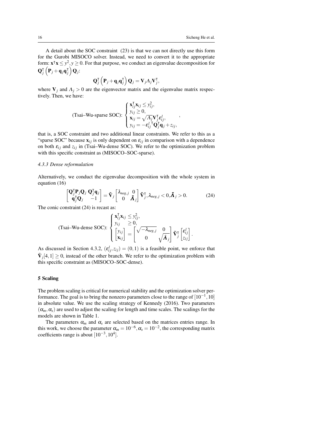A detail about the SOC constraint [\(23\)](#page-15-3) is that we can not directly use this form for the Gurobi MISOCO solver. Instead, we need to convert it to the appropriate form:  $\mathbf{x}^\mathsf{T} \mathbf{x} \leq y^2$ ,  $y \geq 0$ . For that purpose, we conduct an eigenvalue decomposition for  $\mathbf{Q}_i^{\mathsf{T}}$  $\frac{1}{j}\left(\mathbf{P}_{j}+\mathbf{q}_{j}\mathbf{q}_{j}^{\intercal}\right)$  $J_j^\intercal\Big) \mathbf{Q}_j$ :

$$
\mathbf{Q}_{j}^{\intercal}\left(\mathbf{P}_{j}+\mathbf{q}_{j}\mathbf{q}_{j}^{\intercal}\right)\mathbf{Q}_{j}=\mathbf{V}_{j}\Lambda_{j}\mathbf{V}_{j}^{\intercal},
$$

where  $V_i$  and  $\Lambda_i > 0$  are the eigenvector matrix and the eigenvalue matrix respectively. Then, we have:

(Tsai–Wu-sparse SOC): 
$$
\begin{cases} \mathbf{x}_{ij}^{\mathsf{T}} \mathbf{x}_{ij} \leq y_{ij}^2, \\ y_{ij} \geq 0, \\ \mathbf{x}_{ij} = \sqrt{A_j} \mathbf{V}_j^{\mathsf{T}} \boldsymbol{\varepsilon}_{ij}^l, \\ y_{ij} = -\boldsymbol{\varepsilon}_{ij}^I \mathbf{Q}_j^{\mathsf{T}} \mathbf{q}_j + z_{ij}, \end{cases}
$$

that is, a SOC constraint and two additional linear constraints. We refer to this as a "sparse SOC" because  $\mathbf{x}_{ij}$  is only dependent on  $\varepsilon_{ij}$  in comparison with a dependence on both  $\varepsilon_{ij}$  and  $z_{ij}$  in (Tsai–Wu-dense SOC). We refer to the optimization problem with this specific constraint as (MISOCO–SOC-sparse).

## *4.3.3 Dense reformulation*

Alternatively, we conduct the eigenvalue decomposition with the whole system in equation [\(16\)](#page-14-1)

<span id="page-16-1"></span>
$$
\begin{bmatrix} \mathbf{Q}_{j}^{\mathsf{T}} \mathbf{P}_{j} \mathbf{Q}_{j} & \mathbf{Q}_{j}^{\mathsf{T}} \mathbf{q}_{j} \\ \mathbf{q}_{j}^{\mathsf{T}} \mathbf{Q}_{j} & -1 \end{bmatrix} = \tilde{\mathbf{V}}_{j} \begin{bmatrix} \lambda_{\text{neg},j} & 0 \\ 0 & \tilde{\mathbf{\Lambda}}_{j} \end{bmatrix} \tilde{\mathbf{V}}_{j}^{\mathsf{T}}, \lambda_{\text{neg},j} < 0, \tilde{\mathbf{\Lambda}}_{j} > 0.
$$
 (24)

The conic constraint [\(24\)](#page-16-1) is recast as:

(Tsai–Wu-dense SOC): 
$$
\begin{cases} \mathbf{x}_{ij}^{\mathsf{T}} \mathbf{x}_{ij} \leq y_{ij}^2, \\ y_{ij} \geq 0, \\ \begin{bmatrix} y_{ij} \\ \mathbf{x}_{ij} \end{bmatrix} = \begin{bmatrix} \sqrt{-\lambda_{neg,j}} & 0 \\ 0 & \sqrt{\tilde{\mathbf{\Lambda}}_j} \end{bmatrix} \tilde{\mathbf{v}}_{j}^{\mathsf{T}} \begin{bmatrix} \boldsymbol{\varepsilon}_{ij}^{l} \\ z_{ij} \end{bmatrix} . \end{cases}
$$

As discussed in Section [4.3.2,](#page-15-4)  $(\varepsilon_{ij}^l, z_{ij}) = (0, 1)$  is a feasible point, we enforce that  $\tilde{\mathbf{V}}_j[4,1] \geq 0$ , instead of the other branch. We refer to the optimization problem with this specific constraint as (MISOCO–SOC-dense).

# <span id="page-16-0"></span>5 Scaling

The problem scaling is critical for numerical stability and the optimization solver performance. The goal is to bring the nonzero parameters close to the range of  $[10^{-1}, 10]$ in absolute value. We use the scaling strategy of [Kennedy](#page-31-3) [\(2016\)](#page-31-3). Two parameters  $(\alpha_m, \alpha_s)$  are used to adjust the scaling for length and time scales. The scalings for the models are shown in Table [1.](#page-17-1)

The parameters  $\alpha_m$  and  $\alpha_s$  are selected based on the matrices entries range. In this work, we choose the parameter  $\alpha_m = 10^{-6}, \alpha_s = 10^{-2}$ , the corresponding matrix coefficients range is about  $[10^{-3}, 10^{4}]$ .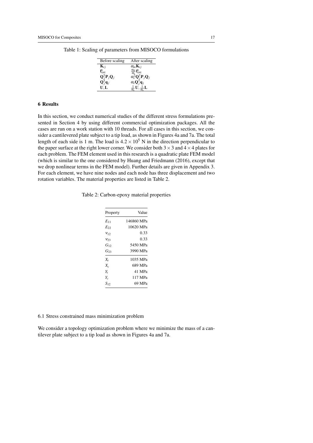| Before scaling                                      | After scaling                                                    |
|-----------------------------------------------------|------------------------------------------------------------------|
| ${\bf K}_{ij}$                                      | $\alpha_m$ K <sub>ij</sub>                                       |
| $\mathbf{f}_{\text{ext}}^s$                         | $\frac{\alpha_m}{\alpha_s}$ <b>f</b> <sub>ext</sub>              |
| $\mathbf{Q}_j^\mathsf{T} \mathbf{P}_j \mathbf{Q}_j$ | $\alpha_s^2 \mathbf{Q}_i^{\mathsf{T}} \mathbf{P}_j \mathbf{Q}_j$ |
| $\mathbf{Q}_i^{\dagger} \mathbf{q}_j$               | $\alpha_s \mathbf{Q}_i^{\dagger} \mathbf{q}_j$                   |
| U.L                                                 | U. ±L                                                            |

<span id="page-17-1"></span>Table 1: Scaling of parameters from MISOCO formulations

#### 6 Results

In this section, we conduct numerical studies of the different stress formulations presented in Section [4](#page-11-0) by using different commercial optimization packages. All the cases are run on a work station with 10 threads. For all cases in this section, we consider a cantilevered plate subject to a tip load, as shown in Figures [4a](#page-18-0) and [7a.](#page-21-0) The total length of each side is 1 m. The load is  $4.2 \times 10^5$  N in the direction perpendicular to the paper surface at the right lower corner. We consider both  $3 \times 3$  and  $4 \times 4$  plates for each problem. The FEM element used in this research is a quadratic plate FEM model (which is similar to the one considered by [Huang and Friedmann](#page-31-16) [\(2016\)](#page-31-16), except that we drop nonlinear terms in the FEM model). Further details are given in Appendix 3. For each element, we have nine nodes and each node has three displacement and two rotation variables. The material properties are listed in Table [2.](#page-17-0)

<span id="page-17-0"></span>Table 2: Carbon-epoxy material properties

| Property | Value      |
|----------|------------|
| $E_{11}$ | 146860 MPa |
| $E_{22}$ | 10620 MPa  |
| $V_1$ 2  | 0.33       |
| V23      | 0.33       |
| $G_{12}$ | 5450 MPa   |
| $G_{23}$ | 3990 MPa   |
| $X_t$    | 1035 MPa   |
| $X_c$    | 689 MPa    |
| Y,       | 41 MPa     |
| Y.       | 117 MPa    |
| $S_{12}$ | 69 MPa     |
|          |            |

6.1 Stress constrained mass minimization problem

We consider a topology optimization problem where we minimize the mass of a cantilever plate subject to a tip load as shown in Figures [4a](#page-18-0) and [7a.](#page-21-0)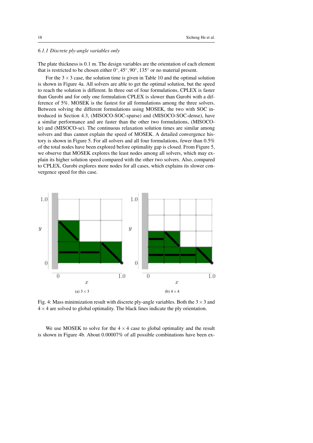# *6.1.1 Discrete ply-angle variables only*

The plate thickness is 0.1 m. The design variables are the orientation of each element that is restricted to be chosen either  $0^\circ, 45^\circ, 90^\circ, 135^\circ$  or no material present.

For the  $3 \times 3$  case, the solution time is given in Table [10](#page-28-0) and the optimal solution is shown in Figure [4a.](#page-18-0) All solvers are able to get the optimal solution, but the speed to reach the solution is different. In three out of four formulations, CPLEX is faster than Gurobi and for only one formulation CPLEX is slower than Gurobi with a difference of 5%. MOSEK is the fastest for all formulations among the three solvers. Between solving the different formulations using MOSEK, the two with SOC introduced in Section [4.3,](#page-13-0) (MISOCO-SOC-sparse) and (MISOCO-SOC-dense), have a similar performance and are faster than the other two formulations, (MISOCOle) and (MISOCO-se). The continuous relaxation solution times are similar among solvers and thus cannot explain the speed of MOSEK. A detailed convergence history is shown in Figure [5.](#page-19-0) For all solvers and all four formulations, fewer than 0.5% of the total nodes have been explored before optimality gap is closed. From Figure [5,](#page-19-0) we observe that MOSEK explores the least nodes among all solvers, which may explain its higher solution speed compared with the other two solvers. Also, compared to CPLEX, Gurobi explores more nodes for all cases, which explains its slower convergence speed for this case.

<span id="page-18-0"></span>

Fig. 4: Mass minimization result with discrete ply-angle variables. Both the  $3 \times 3$  and  $4 \times 4$  are solved to global optimality. The black lines indicate the ply orientation.

We use MOSEK to solve for the  $4 \times 4$  case to global optimality and the result is shown in Figure [4b.](#page-18-0) About 0.00007% of all possible combinations have been ex-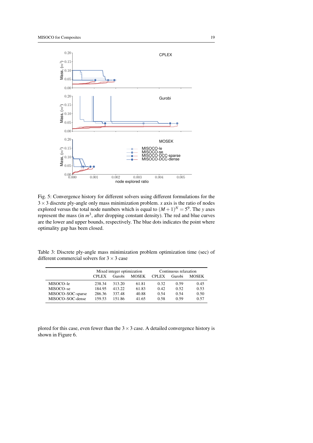<span id="page-19-0"></span>

Fig. 5: Convergence history for different solvers using different formulations for the 3×3 discrete ply-angle only mass minimization problem. *x* axis is the ratio of nodes explored versus the total node numbers which is equal to  $(M + 1)^N = 5^9$ . The *y* axes represent the mass (in  $m^3$ , after dropping constant density). The red and blue curves are the lower and upper bounds, respectively. The blue dots indicates the point where optimality gap has been closed.

Table 3: Discrete ply-angle mass minimization problem optimization time (sec) of different commercial solvers for  $3 \times 3$  case

|                   | Mixed integer optimization |        |              | Continuous relaxation |        |              |
|-------------------|----------------------------|--------|--------------|-----------------------|--------|--------------|
|                   | <b>CPLEX</b>               | Gurobi | <b>MOSEK</b> | <b>CPLEX</b>          | Gurobi | <b>MOSEK</b> |
| MISOCO-le         | 238.34                     | 313.20 | 61.81        | 0.32                  | 0.59   | 0.45         |
| MISOCO-se         | 184.95                     | 413.22 | 61.83        | 0.42                  | 0.52   | 0.53         |
| MISOCO-SOC-sparse | 286.36                     | 337.48 | 40.88        | 0.54                  | 0.54   | 0.50         |
| MISOCO-SOC-dense  | 159.53                     | 151.86 | 41.65        | 0.58                  | 0.59   | 0.57         |

plored for this case, even fewer than the  $3 \times 3$  case. A detailed convergence history is shown in Figure [6.](#page-20-0)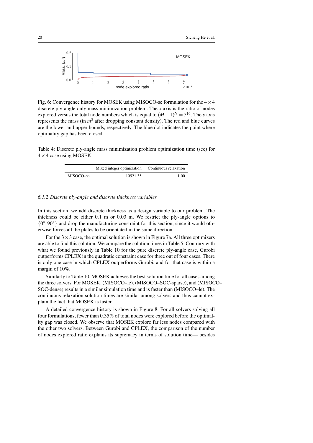<span id="page-20-0"></span>

Fig. 6: Convergence history for MOSEK using MISOCO-se formulation for the  $4 \times 4$ discrete ply-angle only mass minimization problem. The *x* axis is the ratio of nodes explored versus the total node numbers which is equal to  $(M+1)^N = 5^{16}$ . The *y* axis represents the mass (in  $m<sup>3</sup>$  after dropping constant density). The red and blue curves are the lower and upper bounds, respectively. The blue dot indicates the point where optimality gap has been closed.

Table 4: Discrete ply-angle mass minimization problem optimization time (sec) for  $4 \times 4$  case using MOSEK

|           | Mixed integer optimization Continuous relaxation |      |
|-----------|--------------------------------------------------|------|
| MISOCO-se | 10521.35                                         | 1.00 |

#### *6.1.2 Discrete ply-angle and discrete thickness variables*

In this section, we add discrete thickness as a design variable to our problem. The thickness could be either 0.1 m or 0.03 m. We restrict the ply-angle options to  ${0^{\circ}, 90^{\circ}}$  and drop the manufacturing constraint for this section, since it would otherwise forces all the plates to be orientated in the same direction.

For the  $3 \times 3$  case, the optimal solution is shown in Figure [7a.](#page-21-0) All three optimizers are able to find this solution. We compare the solution times in Table [5.](#page-21-1) Contrary with what we found previously in Table [10](#page-28-0) for the pure discrete ply-angle case, Gurobi outperforms CPLEX in the quadratic constraint case for three out of four cases. There is only one case in which CPLEX outperforms Gurobi, and for that case is within a margin of 10%.

Similarly to Table [10,](#page-28-0) MOSEK achieves the best solution time for all cases among the three solvers. For MOSEK, (MISOCO–le), (MISOCO–SOC-sparse), and (MISOCO– SOC-dense) results in a similar simulation time and is faster than (MISOCO–le). The continuous relaxation solution times are similar among solvers and thus cannot explain the fact that MOSEK is faster.

A detailed convergence history is shown in Figure [8.](#page-22-0) For all solvers solving all four formulations, fewer than 0.35% of total nodes were explored before the optimality gap was closed. We observe that MOSEK explore far less nodes compared with the other two solvers. Between Gurobi and CPLEX, the comparison of the number of nodes explored ratio explains its supremacy in terms of solution time— besides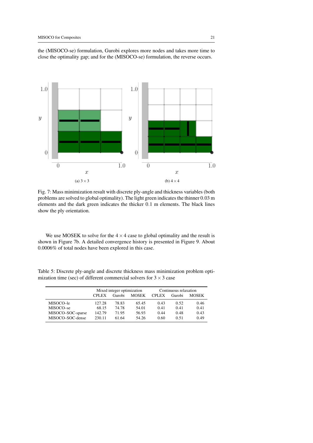<span id="page-21-0"></span>

the (MISOCO-se) formulation, Gurobi explores more nodes and takes more time to close the optimality gap; and for the (MISOCO-se) formulation, the reverse occurs.

Fig. 7: Mass minimization result with discrete ply-angle and thickness variables (both problems are solved to global optimality). The light green indicates the thinner 0.03 m elements and the dark green indicates the thicker 0.1 m elements. The black lines show the ply orientation.

We use MOSEK to solve for the  $4 \times 4$  case to global optimality and the result is shown in Figure [7b.](#page-21-0) A detailed convergence history is presented in Figure [9.](#page-23-0) About 0.0006% of total nodes have been explored in this case.

<span id="page-21-1"></span>Table 5: Discrete ply-angle and discrete thickness mass minimization problem optimization time (sec) of different commercial solvers for  $3 \times 3$  case

|                   | Mixed integer optimization |        |              | Continuous relaxation |        |              |
|-------------------|----------------------------|--------|--------------|-----------------------|--------|--------------|
|                   | <b>CPLEX</b>               | Gurobi | <b>MOSEK</b> | <b>CPLEX</b>          | Gurobi | <b>MOSEK</b> |
| MISOCO-le         | 127.28                     | 78.83  | 65.45        | 0.43                  | 0.52   | 0.46         |
| MISOCO-se         | 68.15                      | 74.78  | 54.01        | 0.41                  | 0.41   | 0.41         |
| MISOCO-SOC-sparse | 142.79                     | 71.95  | 56.93        | 0.44                  | 0.48   | 0.43         |
| MISOCO-SOC-dense  | 230.11                     | 61.64  | 54.26        | 0.60                  | 0.51   | 0.49         |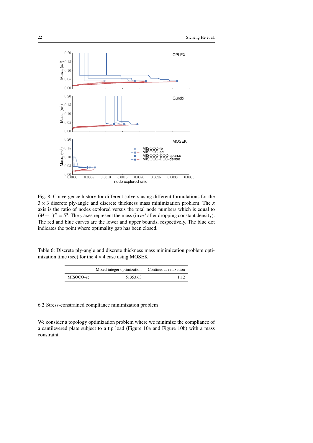<span id="page-22-0"></span>

Fig. 8: Convergence history for different solvers using different formulations for the 3 × 3 discrete ply-angle and discrete thickness mass minimization problem. The *x* axis is the ratio of nodes explored versus the total node numbers which is equal to  $(M+1)^N = 5^9$ . The *y* axes represent the mass (in  $m^3$  after dropping constant density). The red and blue curves are the lower and upper bounds, respectively. The blue dot indicates the point where optimality gap has been closed.

Table 6: Discrete ply-angle and discrete thickness mass minimization problem optimization time (sec) for the  $4 \times 4$  case using MOSEK

|           | Mixed integer optimization Continuous relaxation |      |
|-----------|--------------------------------------------------|------|
| MISOCO-se | 51353.63                                         | 1.12 |

# 6.2 Stress-constrained compliance minimization problem

We consider a topology optimization problem where we minimize the compliance of a cantilevered plate subject to a tip load (Figure [10a](#page-24-0) and Figure [10b\)](#page-24-0) with a mass constraint.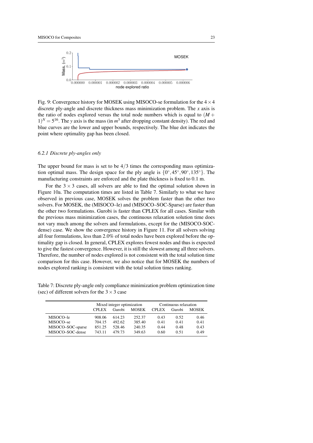<span id="page-23-0"></span>

Fig. 9: Convergence history for MOSEK using MISOCO-se formulation for the  $4 \times 4$ discrete ply-angle and discrete thickness mass minimization problem. The *x* axis is the ratio of nodes explored versus the total node numbers which is equal to  $(M +$  $1)^N = 5^{16}$ . The *y* axis is the mass (in  $m^3$  after dropping constant density). The red and blue curves are the lower and upper bounds, respectively. The blue dot indicates the point where optimality gap has been closed.

# *6.2.1 Discrete ply-angles only*

The upper bound for mass is set to be  $4/3$  times the corresponding mass optimization optimal mass. The design space for the ply angle is  $\{0^\circ, 45^\circ, 90^\circ, 135^\circ\}$ . The manufacturing constraints are enforced and the plate thickness is fixed to 0.1 m.

For the  $3 \times 3$  cases, all solvers are able to find the optimal solution shown in Figure [10a.](#page-24-0) The computation times are listed in Table [7.](#page-23-1) Similarly to what we have observed in previous case, MOSEK solves the problem faster than the other two solvers. For MOSEK, the (MISOCO–le) and (MISOCO–SOC-Sparse) are faster than the other two formulations. Gurobi is faster than CPLEX for all cases. Similar with the previous mass minimization cases, the continuous relaxation solution time does not vary much among the solvers and formulations, except for the (MISOCO-SOCdense) case. We show the convergence history in Figure [11.](#page-25-0) For all solvers solving all four formulations, less than 2.0% of total nodes have been explored before the optimality gap is closed. In general, CPLEX explores fewest nodes and thus is expected to give the fastest convergence. However, it is still the slowest among all three solvers. Therefore, the number of nodes explored is not consistent with the total solution time comparison for this case. However, we also notice that for MOSEK the numbers of nodes explored ranking is consistent with the total solution times ranking.

<span id="page-23-1"></span>Table 7: Discrete ply-angle only compliance minimization problem optimization time (sec) of different solvers for the  $3 \times 3$  case

|                   | Mixed integer optimization |        |              | Continuous relaxation |        |              |
|-------------------|----------------------------|--------|--------------|-----------------------|--------|--------------|
|                   | <b>CPLEX</b>               | Gurobi | <b>MOSEK</b> | <b>CPLEX</b>          | Gurobi | <b>MOSEK</b> |
| MISOCO–le         | 908.06                     | 614.23 | 252.37       | 0.43                  | 0.52   | 0.46         |
| MISOCO-se         | 704.15                     | 492.62 | 385.40       | 0.41                  | 0.41   | 0.41         |
| MISOCO-SOC-sparse | 851.25                     | 528.46 | 240.35       | 0.44                  | 0.48   | 0.43         |
| MISOCO-SOC-dense  | 743.11                     | 479.73 | 349.63       | 0.60                  | 0.51   | 0.49         |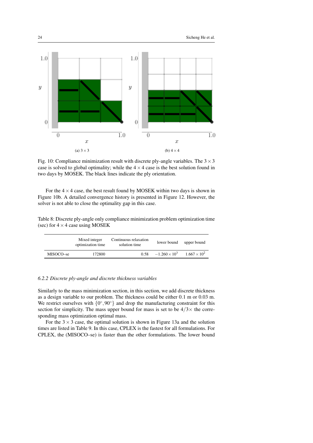<span id="page-24-0"></span>

Fig. 10: Compliance minimization result with discrete ply-angle variables. The  $3 \times 3$ case is solved to global optimality; while the  $4 \times 4$  case is the best solution found in two days by MOSEK. The black lines indicate the ply orientation.

For the  $4 \times 4$  case, the best result found by MOSEK within two days is shown in Figure [10b.](#page-24-0) A detailed convergence history is presented in Figure [12.](#page-26-0) However, the solver is not able to close the optimality gap in this case.

Table 8: Discrete ply-angle only compliance minimization problem optimization time (sec) for  $4 \times 4$  case using MOSEK

|           | Mixed integer<br>optimization time | Continuous relaxation<br>solution time | lower bound          | upper bound           |
|-----------|------------------------------------|----------------------------------------|----------------------|-----------------------|
| MISOCO–se | 172800                             | 0.58                                   | $-1.260 \times 10^3$ | $1.667 \times 10^{2}$ |

# *6.2.2 Discrete ply-angle and discrete thickness variables*

Similarly to the mass minimization section, in this section, we add discrete thickness as a design variable to our problem. The thickness could be either 0.1 m or 0.03 m. We restrict ourselves with  $\{0^\circ, 90^\circ\}$  and drop the manufacturing constraint for this section for simplicity. The mass upper bound for mass is set to be  $4/3\times$  the corresponding mass optimization optimal mass.

For the  $3 \times 3$  case, the optimal solution is shown in Figure [13a](#page-26-1) and the solution times are listed in Table [9.](#page-27-0) In this case, CPLEX is the fastest for all formulations. For CPLEX, the (MISOCO–se) is faster than the other formulations. The lower bound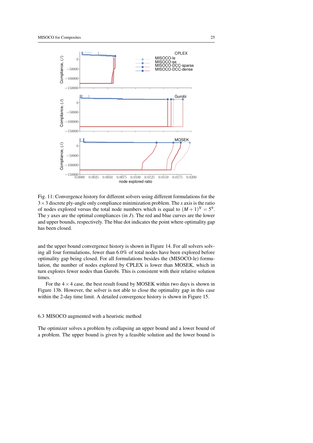<span id="page-25-0"></span>

Fig. 11: Convergence history for different solvers using different formulations for the 3×3 discrete ply-angle only compliance minimization problem. The *x* axis is the ratio of nodes explored versus the total node numbers which is equal to  $(M + 1)^N = 5^9$ . The *y* axes are the optimal compliances (in *J*). The red and blue curves are the lower and upper bounds, respectively. The blue dot indicates the point where optimality gap has been closed.

and the upper bound convergence history is shown in Figure [14.](#page-27-1) For all solvers solving all four formulations, fewer than 6.0% of total nodes have been explored before optimality gap being closed. For all formulations besides the (MISOCO-le) formulation, the number of nodes explored by CPLEX is lower than MOSEK, which in turn explores fewer nodes than Gurobi. This is consistent with their relative solution times.

For the  $4 \times 4$  case, the best result found by MOSEK within two days is shown in Figure [13b.](#page-26-1) However, the solver is not able to close the optimality gap in this case within the 2-day time limit. A detailed convergence history is shown in Figure [15.](#page-28-1)

# 6.3 MISOCO augmented with a heuristic method

The optimizer solves a problem by collapsing an upper bound and a lower bound of a problem. The upper bound is given by a feasible solution and the lower bound is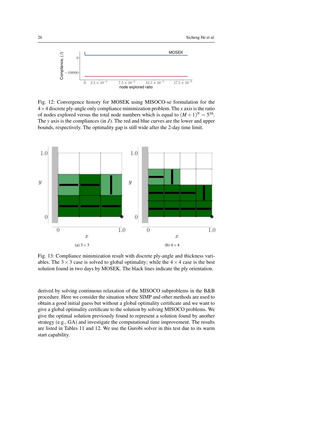<span id="page-26-0"></span>

Fig. 12: Convergence history for MOSEK using MISOCO-se formulation for the 4×4 discrete ply-angle only compliance minimization problem. The *x* axis is the ratio of nodes explored versus the total node numbers which is equal to  $(M + 1)^N = 5^{16}$ . The *y* axis is the compliances (in *J*). The red and blue curves are the lower and upper bounds, respectively. The optimality gap is still wide after the 2-day time limit.

<span id="page-26-1"></span>

Fig. 13: Compliance minimization result with discrete ply-angle and thickness variables. The  $3 \times 3$  case is solved to global optimality; while the  $4 \times 4$  case is the best solution found in two days by MOSEK. The black lines indicate the ply orientation.

derived by solving continuous relaxation of the MISOCO subproblems in the B&B procedure. Here we consider the situation where SIMP and other methods are used to obtain a good initial guess but without a global optimality certificate and we want to give a global optimality certificate to the solution by solving MISOCO problems. We give the optimal solution previously found to represent a solution found by another strategy (e.g., GA) and investigate the computational time improvement. The results are listed in Tables [11](#page-28-2) and [12.](#page-29-1) We use the Gurobi solver in this test due to its warm start capability.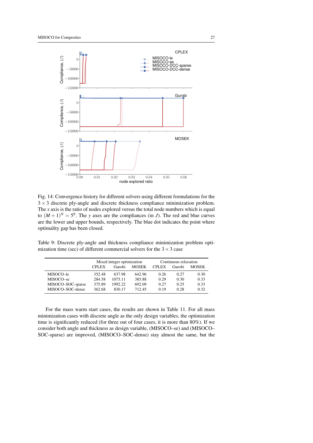<span id="page-27-1"></span>

Fig. 14: Convergence history for different solvers using different formulations for the  $3 \times 3$  discrete ply-angle and discrete thickness compliance minimization problem. The *x* axis is the ratio of nodes explored versus the total node numbers which is equal to  $(M+1)^N = 5^9$ . The *y* axes are the compliances (in *J*). The red and blue curves are the lower and upper bounds, respectively. The blue dot indicates the point where optimality gap has been closed.

<span id="page-27-0"></span>Table 9: Discrete ply-angle and thickness compliance minimization problem optimization time (sec) of different commercial solvers for the  $3 \times 3$  case

|                   | Mixed integer optimization |                        |        | Continuous relaxation |        |              |
|-------------------|----------------------------|------------------------|--------|-----------------------|--------|--------------|
|                   | <b>CPLEX</b>               | <b>MOSEK</b><br>Gurobi |        |                       | Gurobi | <b>MOSEK</b> |
| MISOCO-le         | 352.48                     | 637.98                 | 642.96 | 0.26                  | 0.27   | 0.30         |
| MISOCO-se         | 284.58                     | 1075.11                | 385.88 | 0.29                  | 0.30   | 0.33         |
| MISOCO-SOC-sparse | 375.89                     | 1992.22                | 692.09 | 0.27                  | 0.25   | 0.33         |
| MISOCO-SOC-dense  | 362.68                     | 830.17                 | 712.45 | 0.19                  | 0.28   | 0.32         |

For the mass warm start cases, the results are shown in Table [11.](#page-28-2) For all mass minimization cases with discrete angle as the only design variables, the optimization time is significantly reduced (for three out of four cases, it is more than 80%). If we consider both angle and thickness as design variable, (MISOCO–se) and (MISOCO– SOC-sparse) are improved, (MISOCO–SOC-dense) stay almost the same, but the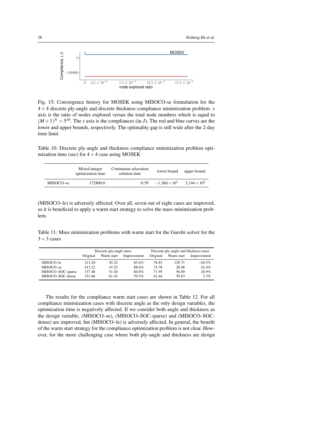<span id="page-28-1"></span>

Fig. 15: Convergence history for MOSEK using MISOCO-se formulation for the  $4 \times 4$  discrete ply-angle and discrete thickness compliance minimization problem. *x* axis is the ratio of nodes explored versus the total node numbers which is equal to  $(M+1)^N = 5^{16}$ . The *y* axis is the compliances (in *J*). The red and blue curves are the lower and upper bounds, respectively. The optimality gap is still wide after the 2-day time limit.

<span id="page-28-0"></span>Table 10: Discrete ply-angle and thickness compliance minimization problem optimization time (sec) for  $4 \times 4$  case using MOSEK

|           | Mixed integer<br>optimization time | Continuous relaxation<br>solution time | lower bound            | upper bound           |
|-----------|------------------------------------|----------------------------------------|------------------------|-----------------------|
| MISOCO-se | 172800.0                           | 0.59                                   | $-1.260 \times 10^{3}$ | $2.144 \times 10^{2}$ |

(MISOCO–le) is adversely affected. Over all, seven out of eight cases are improved, so it is beneficial to apply a warm start strategy to solve the mass minimization problem.

<span id="page-28-2"></span>Table 11: Mass minimization problems with warm start for the Gurobi solver for the  $3 \times 3$  cases

|                   | Discrete ply-angle mass |            |             | Discrete ply-angle and thickness mass |            |             |
|-------------------|-------------------------|------------|-------------|---------------------------------------|------------|-------------|
|                   | Original                | Warm start | Improvement | Original                              | Warm start | Improvement |
| MISOCO-le         | 313.20                  | 45.22      | 85.6%       | 78.83                                 | 129.71     | $-64.5\%$   |
| MISOCO-se         | 413.22                  | 47.25      | 88.6%       | 74.78                                 | 28.08      | 62.4%       |
| MISOCO-SOC-sparse | 337.48                  | 51.40      | 84.8%       | 71.95                                 | 56.89      | 20.9%       |
| MISOCO-SOC-dense  | 151.86                  | 61.45      | 59.5%       | 61.64                                 | 59.63      | 3.3%        |

The results for the compliance warm start cases are shown in Table [12.](#page-29-1) For all compliance minimization cases with discrete angle as the only design variables, the optimization time is negatively affected. If we consider both angle and thickness as the design variable, (MISOCO–se), (MISOCO–SOC-sparse) and (MISOCO–SOCdense) are improved, but (MISOCO–le) is adversely affected. In general, the benefit of the warm start strategy for the compliance optimization problem is not clear. However, for the more challenging case where both ply-angle and thickness are design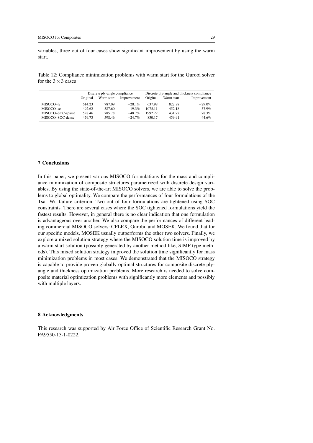variables, three out of four cases show significant improvement by using the warm start.

<span id="page-29-1"></span>Table 12: Compliance minimization problems with warm start for the Gurobi solver for the  $3 \times 3$  cases

|                   |          | Discrete ply-angle compliance |             | Discrete ply-angle and thickness compliance |            |             |
|-------------------|----------|-------------------------------|-------------|---------------------------------------------|------------|-------------|
|                   | Original | Warm start                    | Improvement | Original                                    | Warm start | Improvement |
| MISOCO-le         | 614.23   | 787.09                        | $-28.1\%$   | 637.98                                      | 822.88     | $-29.0\%$   |
| MISOCO-se         | 492.62   | 587.60                        | $-19.3%$    | 1075.11                                     | 452.18     | 57.9%       |
| MISOCO-SOC-sparse | 528.46   | 785.78                        | $-48.7\%$   | 1992.22                                     | 431.77     | 78.3%       |
| MISOCO-SOC-dense  | 479.73   | 598.46                        | $-24.7\%$   | 830.17                                      | 459.91     | 44.6%       |

#### <span id="page-29-0"></span>7 Conclusions

In this paper, we present various MISOCO formulations for the mass and compliance minimization of composite structures parametrized with discrete design variables. By using the state-of-the-art MISOCO solvers, we are able to solve the problems to global optimality. We compare the performances of four formulations of the Tsai–Wu failure criterion. Two out of four formulations are tightened using SOC constraints. There are several cases where the SOC tightened formulations yield the fastest results. However, in general there is no clear indication that one formulation is advantageous over another. We also compare the performances of different leading commercial MISOCO solvers: CPLEX, Gurobi, and MOSEK. We found that for our specific models, MOSEK usually outperforms the other two solvers. Finally, we explore a mixed solution strategy where the MISOCO solution time is improved by a warm start solution (possibly generated by another method like, SIMP type methods). This mixed solution strategy improved the solution time significantly for mass minimization problems in most cases. We demonstrated that the MISOCO strategy is capable to provide proven globally optimal structures for composite discrete plyangle and thickness optimization problems. More research is needed to solve composite material optimization problems with significantly more elements and possibly with multiple layers.

#### 8 Acknowledgments

This research was supported by Air Force Office of Scientific Research Grant No. FA9550-15-1-0222.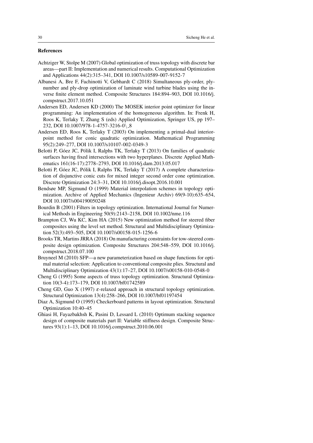# References

- <span id="page-30-6"></span>Achtziger W, Stolpe M (2007) Global optimization of truss topology with discrete bar areas—part II: Implementation and numerical results. Computational Optimization and Applications 44(2):315–341, DOI 10.1007/s10589-007-9152-7
- <span id="page-30-5"></span>Albanesi A, Bre F, Fachinotti V, Gebhardt C (2018) Simultaneous ply-order, plynumber and ply-drop optimization of laminate wind turbine blades using the inverse finite element method. Composite Structures 184:894–903, DOI 10.1016/j. compstruct.2017.10.051
- <span id="page-30-8"></span>Andersen ED, Andersen KD (2000) The MOSEK interior point optimizer for linear programming: An implementation of the homogeneous algorithm. In: Frenk H, Roos K, Terlaky T, Zhang S (eds) Applied Optimization, Springer US, pp 197– 232, DOI 10.1007/978-1-4757-3216-0\28
- <span id="page-30-7"></span>Andersen ED, Roos K, Terlaky T (2003) On implementing a primal-dual interiorpoint method for conic quadratic optimization. Mathematical Programming 95(2):249–277, DOI 10.1007/s10107-002-0349-3
- <span id="page-30-14"></span>Belotti P, Góez JC, Pólik I, Ralphs TK, Terlaky T (2013) On families of quadratic surfaces having fixed intersections with two hyperplanes. Discrete Applied Mathematics 161(16-17):2778–2793, DOI 10.1016/j.dam.2013.05.017
- <span id="page-30-9"></span>Belotti P, Góez JC, Pólik I, Ralphs TK, Terlaky T (2017) A complete characterization of disjunctive conic cuts for mixed integer second order cone optimization. Discrete Optimization 24:3–31, DOI 10.1016/j.disopt.2016.10.001
- <span id="page-30-3"></span>Bendsøe MP, Sigmund O (1999) Material interpolation schemes in topology optimization. Archive of Applied Mechanics (Ingenieur Archiv) 69(9-10):635–654, DOI 10.1007/s004190050248
- <span id="page-30-13"></span>Bourdin B (2001) Filters in topology optimization. International Journal for Numerical Methods in Engineering 50(9):2143–2158, DOI 10.1002/nme.116
- <span id="page-30-2"></span>Brampton CJ, Wu KC, Kim HA (2015) New optimization method for steered fiber composites using the level set method. Structural and Multidisciplinary Optimization 52(3):493–505, DOI 10.1007/s00158-015-1256-6
- <span id="page-30-1"></span>Brooks TR, Martins JRRA (2018) On manufacturing constraints for tow-steered composite design optimization. Composite Structures 204:548–559, DOI 10.1016/j. compstruct.2018.07.100
- <span id="page-30-4"></span>Bruyneel M (2010) SFP—a new parameterization based on shape functions for optimal material selection: Application to conventional composite plies. Structural and Multidisciplinary Optimization 43(1):17–27, DOI 10.1007/s00158-010-0548-0
- <span id="page-30-10"></span>Cheng G (1995) Some aspects of truss topology optimization. Structural Optimization 10(3-4):173–179, DOI 10.1007/bf01742589
- <span id="page-30-11"></span>Cheng GD, Guo X (1997)  $\varepsilon$ -relaxed approach in structural topology optimization. Structural Optimization 13(4):258–266, DOI 10.1007/bf01197454
- <span id="page-30-12"></span>Diaz A, Sigmund O (1995) Checkerboard patterns in layout optimization. Structural Optimization 10:40–45
- <span id="page-30-0"></span>Ghiasi H, Fayazbakhsh K, Pasini D, Lessard L (2010) Optimum stacking sequence design of composite materials part II: Variable stiffness design. Composite Structures 93(1):1–13, DOI 10.1016/j.compstruct.2010.06.001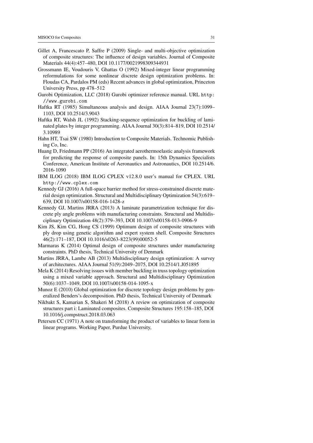- <span id="page-31-5"></span>Gillet A, Francescato P, Saffre P (2009) Single- and multi-objective optimization of composite structures: The influence of design variables. Journal of Composite Materials 44(4):457–480, DOI 10.1177/0021998309344931
- <span id="page-31-1"></span>Grossmann IE, Voudouris V, Ghattas O (1992) Mixed-integer linear programming reformulations for some nonlinear discrete design optimization problems. In: Floudas CA, Pardalos PM (eds) Recent advances in global optimization, Princeton University Press, pp 478–512
- <span id="page-31-12"></span>Gurobi Optimization, LLC (2018) Gurobi optimizer reference manual. URL [http:](http://www.gurobi.com) [//www.gurobi.com](http://www.gurobi.com)
- <span id="page-31-14"></span>Haftka RT (1985) Simultaneous analysis and design. AIAA Journal 23(7):1099– 1103, DOI 10.2514/3.9043
- <span id="page-31-10"></span>Haftka RT, Walsh JL (1992) Stacking-sequence optimization for buckling of laminated plates by integer programming. AIAA Journal 30(3):814–819, DOI 10.2514/ 3.10989
- <span id="page-31-11"></span>Hahn HT, Tsai SW (1980) Introduction to Composite Materials. Technomic Publishing Co, Inc.
- <span id="page-31-16"></span>Huang D, Friedmann PP (2016) An integrated aerothermoelastic analysis framework for predicting the response of composite panels. In: 15th Dynamics Specialists Conference, American Institute of Aeronautics and Astronautics, DOI 10.2514/6. 2016-1090
- <span id="page-31-13"></span>IBM ILOG (2018) IBM ILOG CPLEX v12.8.0 user's manual for CPLEX. URL <http://www.cplex.com>
- <span id="page-31-3"></span>Kennedy GJ (2016) A full-space barrier method for stress-constrained discrete material design optimization. Structural and Multidisciplinary Optimization 54(3):619– 639, DOI 10.1007/s00158-016-1428-z
- <span id="page-31-2"></span>Kennedy GJ, Martins JRRA (2013) A laminate parametrization technique for discrete ply angle problems with manufacturing constraints. Structural and Multidisciplinary Optimization 48(2):379–393, DOI 10.1007/s00158-013-0906-9
- <span id="page-31-4"></span>Kim JS, Kim CG, Hong CS (1999) Optimum design of composite structures with ply drop using genetic algorithm and expert system shell. Composite Structures 46(2):171–187, DOI 10.1016/s0263-8223(99)00052-5
- <span id="page-31-7"></span>Marmaras K (2014) Optimal design of composite structures under manufacturing constraints. PhD thesis, Technical University of Denmark
- <span id="page-31-15"></span>Martins JRRA, Lambe AB (2013) Multidisciplinary design optimization: A survey of architectures. AIAA Journal 51(9):2049–2075, DOI 10.2514/1.J051895
- <span id="page-31-9"></span>Mela K (2014) Resolving issues with member buckling in truss topology optimization using a mixed variable approach. Structural and Multidisciplinary Optimization 50(6):1037–1049, DOI 10.1007/s00158-014-1095-x
- <span id="page-31-6"></span>Munoz E (2010) Global optimization for discrete topology design problems by generalized Benders's decomposition. PhD thesis, Technical University of Denmark
- <span id="page-31-0"></span>Nikbakt S, Kamarian S, Shakeri M (2018) A review on optimization of composite structures part i: Laminated composites. Composite Structures 195:158–185, DOI 10.1016/j.compstruct.2018.03.063
- <span id="page-31-8"></span>Petersen CC (1971) A note on transforming the product of variables to linear form in linear programs. Working Paper, Purdue University,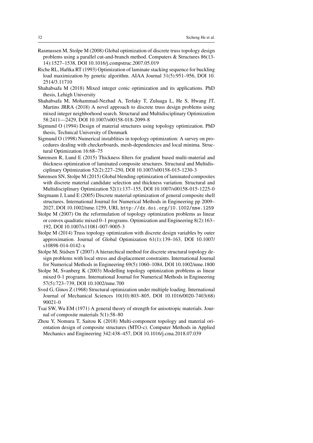- <span id="page-32-7"></span>Rasmussen M, Stolpe M (2008) Global optimization of discrete truss topology design problems using a parallel cut-and-branch method. Computers & Structures 86(13- 14):1527–1538, DOI 10.1016/j.compstruc.2007.05.019
- <span id="page-32-1"></span>Riche RL, Haftka RT (1993) Optimization of laminate stacking sequence for buckling load maximization by genetic algorithm. AIAA Journal 31(5):951–956, DOI 10. 2514/3.11710
- <span id="page-32-10"></span>Shahabsafa M (2018) Mixed integer conic optimization and its applications. PhD thesis, Lehigh University
- <span id="page-32-9"></span>Shahabsafa M, Mohammad-Nezhad A, Terlaky T, Zuluaga L, He S, Hwang JT, Martins JRRA (2018) A novel approach to discrete truss design problems using mixed integer neighborhood search. Structural and Multidisciplinary Optimization 58:2411—2429, DOI 10.1007/s00158-018-2099-8
- <span id="page-32-14"></span>Sigmund O (1994) Design of material structures using topology optimization. PhD thesis, Technical University of Denmark
- <span id="page-32-13"></span>Sigmund O (1998) Numerical instablities in topology optimization: A survey on procedures dealing with checkerboards, mesh-dependencies and local minima. Structural Optimization 16:68–75
- <span id="page-32-11"></span>Sørensen R, Lund E (2015) Thickness filters for gradient based multi-material and thickness optimization of laminated composite structures. Structural and Multidisciplinary Optimization 52(2):227–250, DOI 10.1007/s00158-015-1230-3
- <span id="page-32-4"></span>Sørensen SN, Stolpe M (2015) Global blending optimization of laminated composites with discrete material candidate selection and thickness variation. Structural and Multidisciplinary Optimization 52(1):137–155, DOI 10.1007/s00158-015-1225-0
- <span id="page-32-3"></span>Stegmann J, Lund E (2005) Discrete material optimization of general composite shell structures. International Journal for Numerical Methods in Engineering pp 2009– 2027, DOI 10.1002/nme.1259, URL <http://dx.doi.org/10.1002/nme.1259>
- <span id="page-32-5"></span>Stolpe M (2007) On the reformulation of topology optimization problems as linear or convex quadratic mixed 0–1 programs. Optimization and Engineering 8(2):163– 192, DOI 10.1007/s11081-007-9005-3
- <span id="page-32-8"></span>Stolpe M (2014) Truss topology optimization with discrete design variables by outer approximation. Journal of Global Optimization 61(1):139–163, DOI 10.1007/ s10898-014-0142-x
- <span id="page-32-6"></span>Stolpe M, Stidsen T (2007) A hierarchical method for discrete structural topology design problems with local stress and displacement constraints. International Journal for Numerical Methods in Engineering 69(5):1060–1084, DOI 10.1002/nme.1800
- <span id="page-32-2"></span>Stolpe M, Svanberg K (2003) Modelling topology optimization problems as linear mixed 0-1 programs. International Journal for Numerical Methods in Engineering 57(5):723–739, DOI 10.1002/nme.700
- <span id="page-32-12"></span>Sved G, Ginos Z (1968) Structural optimization under multiple loading. International Journal of Mechanical Sciences 10(10):803–805, DOI 10.1016/0020-7403(68) 90021-0
- <span id="page-32-15"></span>Tsai SW, Wu EM (1971) A general theory of strength for anisotropic materials. Journal of composite materials 5(1):58–80
- <span id="page-32-0"></span>Zhou Y, Nomura T, Saitou K (2018) Multi-component topology and material orientation design of composite structures (MTO-c). Computer Methods in Applied Mechanics and Engineering 342:438–457, DOI 10.1016/j.cma.2018.07.039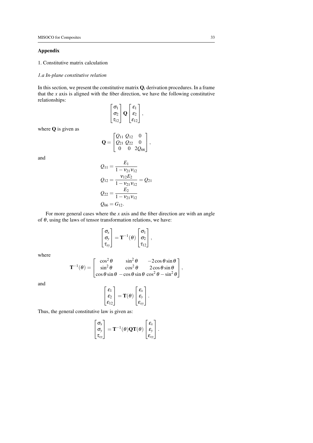# Appendix

1. Constitutive matrix calculation

# *1.a In-plane constitutive relation*

In this section, we present the constitutive matrix  $Q_i$  derivation procedures. In a frame that the  $x$  axis is aligned with the fiber direction, we have the following constitutive relationships:

$$
\begin{bmatrix} \sigma_1 \\ \sigma_2 \\ \tau_{12} \end{bmatrix} \mathbf{Q} \begin{bmatrix} \varepsilon_1 \\ \varepsilon_2 \\ \varepsilon_{12} \end{bmatrix},
$$

where Q is given as

and

$$
\mathbf{Q} = \begin{bmatrix} Q_{11} & Q_{12} & 0 \\ Q_{21} & Q_{22} & 0 \\ 0 & 0 & 2Q_{66} \end{bmatrix},
$$

$$
Q_{11} = \frac{E_1}{1 - v_{21}v_{12}}
$$
  
\n
$$
Q_{12} = \frac{v_{12}E_2}{1 - v_{21}v_{12}} = Q_{21}
$$
  
\n
$$
Q_{22} = \frac{E_2}{1 - v_{21}v_{12}}
$$
  
\n
$$
Q_{66} = G_{12}.
$$

For more general cases where the *x* axis and the fiber direction are with an angle of  $\theta$ , using the laws of tensor transformation relations, we have:

$$
\begin{bmatrix} \sigma_x \\ \sigma_y \\ \tau_{xy} \end{bmatrix} = \mathbf{T}^{-1}(\theta) \begin{bmatrix} \sigma_1 \\ \sigma_2 \\ \tau_{12} \end{bmatrix},
$$

where

$$
\mathbf{T}^{-1}(\theta) = \begin{bmatrix} \cos^2 \theta & \sin^2 \theta & -2\cos \theta \sin \theta \\ \sin^2 \theta & \cos^2 \theta & 2\cos \theta \sin \theta \\ \cos \theta \sin \theta & -\cos \theta \sin \theta \cos^2 \theta - \sin^2 \theta \end{bmatrix},
$$

and

$$
\begin{bmatrix} \epsilon_1 \\ \epsilon_2 \\ \epsilon_{12} \end{bmatrix} = \mathbf{T}(\theta) \begin{bmatrix} \epsilon_x \\ \epsilon_y \\ \epsilon_{xy} \end{bmatrix}.
$$

Thus, the general constitutive law is given as:

$$
\begin{bmatrix} \sigma_x \\ \sigma_y \\ \tau_{xy} \end{bmatrix} = \mathbf{T}^{-1}(\theta) \mathbf{Q} \mathbf{T}(\theta) \begin{bmatrix} \varepsilon_x \\ \varepsilon_y \\ \varepsilon_{xy} \end{bmatrix}.
$$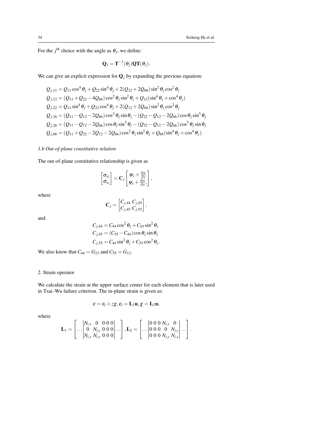For the  $j^{\text{th}}$  choice with the angle as  $\theta_j$ , we define:

$$
\mathbf{Q}_j = \mathbf{T}^{-1}(\boldsymbol{\theta}_j) \mathbf{Q} \mathbf{T}(\boldsymbol{\theta}_j).
$$

We can give an explicit expression for  $\mathbf{Q}_i$  by expanding the previous equation:

$$
Q_{j,11} = Q_{11} \cos^4 \theta_j + Q_{22} \sin^4 \theta_j + 2(Q_{12} + 2Q_{66}) \sin^2 \theta_j \cos^2 \theta_j
$$
  
\n
$$
Q_{j,12} = (Q_{11} + Q_{22} - 4Q_{66}) \cos^2 \theta_j \sin^2 \theta_j + Q_{12} (\sin^4 \theta_j + \cos^4 \theta_j)
$$
  
\n
$$
Q_{j,22} = Q_{11} \sin^4 \theta_j + Q_{22} \cos^4 \theta_j + 2(Q_{12} + 2Q_{66}) \sin^2 \theta_j \cos^2 \theta_j
$$
  
\n
$$
Q_{j,16} = (Q_{11} - Q_{12} - 2Q_{66}) \cos^3 \theta_j \sin \theta_j - (Q_{22} - Q_{12} - 2Q_{66}) \cos \theta_j \sin^3 \theta_j
$$
  
\n
$$
Q_{j,26} = (Q_{11} - Q_{12} - 2Q_{66}) \cos \theta_j \sin^3 \theta_j - (Q_{22} - Q_{12} - 2Q_{66}) \cos^3 \theta_j \sin \theta_j
$$
  
\n
$$
Q_{j,66} = (Q_{11} + Q_{22} - 2Q_{12} - 2Q_{66}) \cos^2 \theta_j \sin^2 \theta_j + Q_{66} (\sin^4 \theta_j + \cos^4 \theta_j).
$$

# *1.b Out-of-plane constitutive relation*

The out-of-plane constitutive relationship is given as

$$
\begin{bmatrix} \sigma_{yz} \\ \sigma_{xz} \end{bmatrix} = \mathbf{C}_j \begin{bmatrix} \psi_y + \frac{\partial w}{\partial y} \\ \psi_x + \frac{\partial w}{\partial x} \end{bmatrix},
$$

where

$$
\mathbf{C}_j = \begin{bmatrix} C_{j,44} & C_{j,45} \\ C_{j,45} & C_{j,55} \end{bmatrix},
$$

and

$$
C_{j,44} = C_{44} \cos^2 \theta_j + C_{55} \sin^2 \theta_j
$$
  
\n
$$
C_{j,45} = (C_{55} - C_{44}) \cos \theta_j \sin \theta_j
$$
  
\n
$$
C_{j,55} = C_{44} \sin^2 \theta_j + C_{55} \cos^2 \theta_j
$$

.

We also know that  $C_{44} = G_{23}$  and  $C_{55} = G_{12}$ .

# 2. Strain operator

We calculate the strain at the upper surface center for each element that is later used in Tsai–Wu failure criterion. The in-plane strain is given as:

$$
\boldsymbol{\epsilon} = \boldsymbol{\epsilon}_l + z\boldsymbol{\chi}, \boldsymbol{\epsilon}_l = \mathbf{L}_1 \mathbf{u}, \boldsymbol{\chi} = \mathbf{L}_2 \mathbf{u},
$$

where

$$
\mathbf{L}_1 = \begin{bmatrix} |N_{i,x} & 0 & 0 & 0 & 0 \\ 0 & N_{i,y} & 0 & 0 & 0 \\ N_{i,y} & N_{i,x} & 0 & 0 & 0 \end{bmatrix} \dots, \mathbf{L}_2 = \begin{bmatrix} | & 0 & 0 & 0 & N_{i,x} & 0 \\ 0 & 0 & 0 & 0 & N_{i,y} \\ 0 & 0 & 0 & N_{i,y} & N_{i,x} \end{bmatrix} \dots
$$